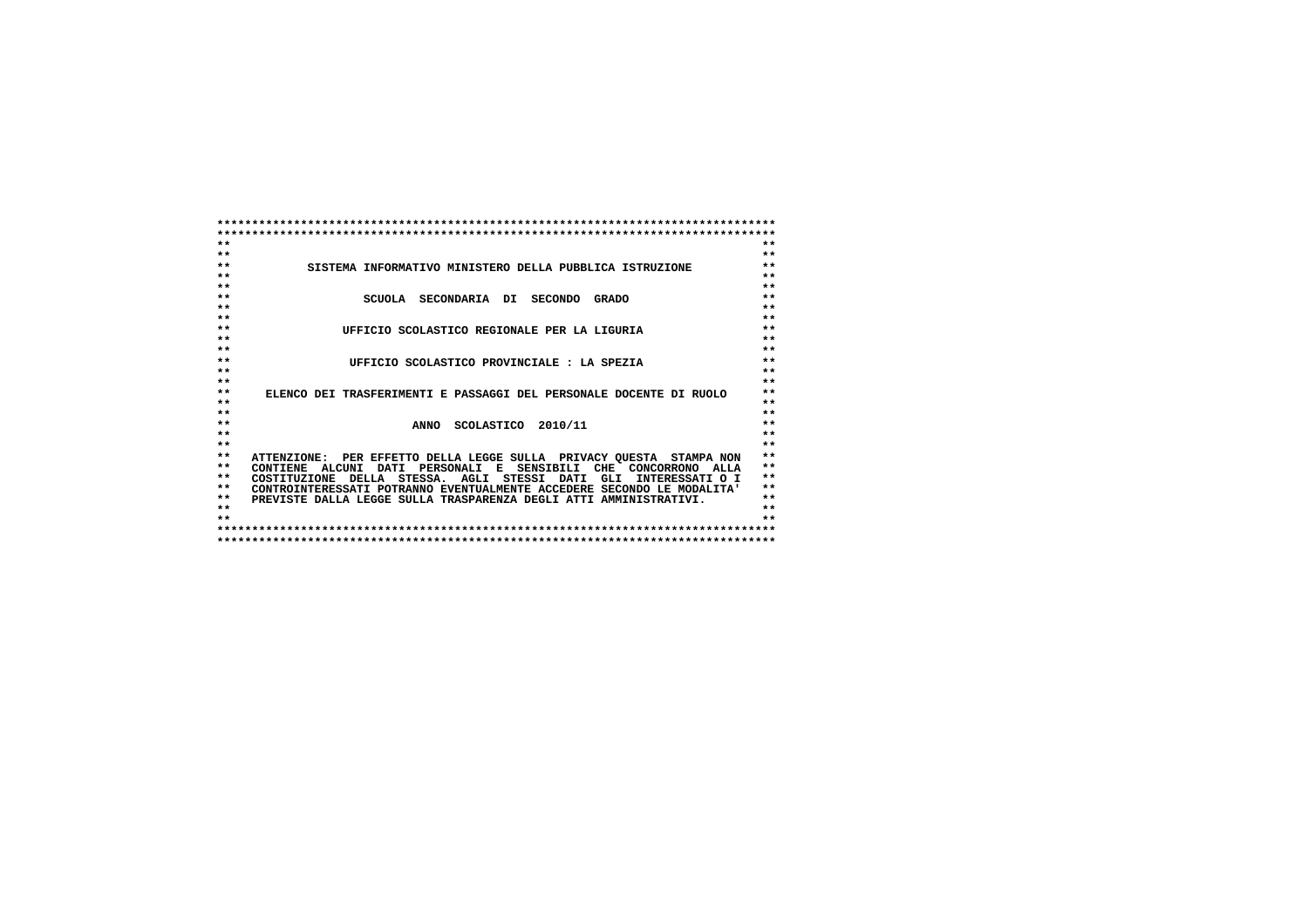| $**$            |                                                                        | $**$            |
|-----------------|------------------------------------------------------------------------|-----------------|
| $**$            |                                                                        | $**$            |
| $* *$           | SISTEMA INFORMATIVO MINISTERO DELLA PUBBLICA ISTRUZIONE                | $**$            |
| $**$            |                                                                        | $**$            |
| $**$            |                                                                        | $**$            |
| $**$            | SCUOLA SECONDARIA DI<br>SECONDO<br><b>GRADO</b>                        | $**$            |
| $**$            |                                                                        | $**$            |
| $**$            |                                                                        | $**$            |
| $**$            | UFFICIO SCOLASTICO REGIONALE PER LA LIGURIA                            | $**$            |
| $**$            |                                                                        | $**$            |
| $**$            |                                                                        | $**$            |
| $**$            | UFFICIO SCOLASTICO PROVINCIALE : LA SPEZIA                             | $**$            |
| $**$            |                                                                        | $**$            |
| $**$            |                                                                        | $**$            |
| $**$            | ELENCO DEI TRASFERIMENTI E PASSAGGI DEL PERSONALE DOCENTE DI RUOLO     | $**$            |
| $**$            |                                                                        | $**$            |
| $* *$           |                                                                        | $**$            |
| $**$            | ANNO SCOLASTICO 2010/11                                                | $**$            |
| $**$            |                                                                        | $**$            |
| $**$            |                                                                        | $**$            |
| $* *$           | ATTENZIONE: PER EFFETTO DELLA LEGGE SULLA PRIVACY OUESTA STAMPA NON    | $***$           |
| $**$            | PERSONALI E SENSIBILI CHE CONCORRONO ALLA<br>CONTIENE ALCUNI DATI      | $**$            |
| $**$            | COSTITUZIONE DELLA STESSA. AGLI STESSI DATI<br>GLI<br>INTERESSATI O I  | $**$            |
| $**$            | CONTROINTERESSATI POTRANNO EVENTUALMENTE ACCEDERE SECONDO LE MODALITA' | $**$            |
| $**$            | PREVISTE DALLA LEGGE SULLA TRASPARENZA DEGLI ATTI AMMINISTRATIVI.      | $**$            |
| $* *$           |                                                                        | $**$            |
| $\star$ $\star$ |                                                                        | $\star$ $\star$ |
|                 |                                                                        |                 |
|                 |                                                                        |                 |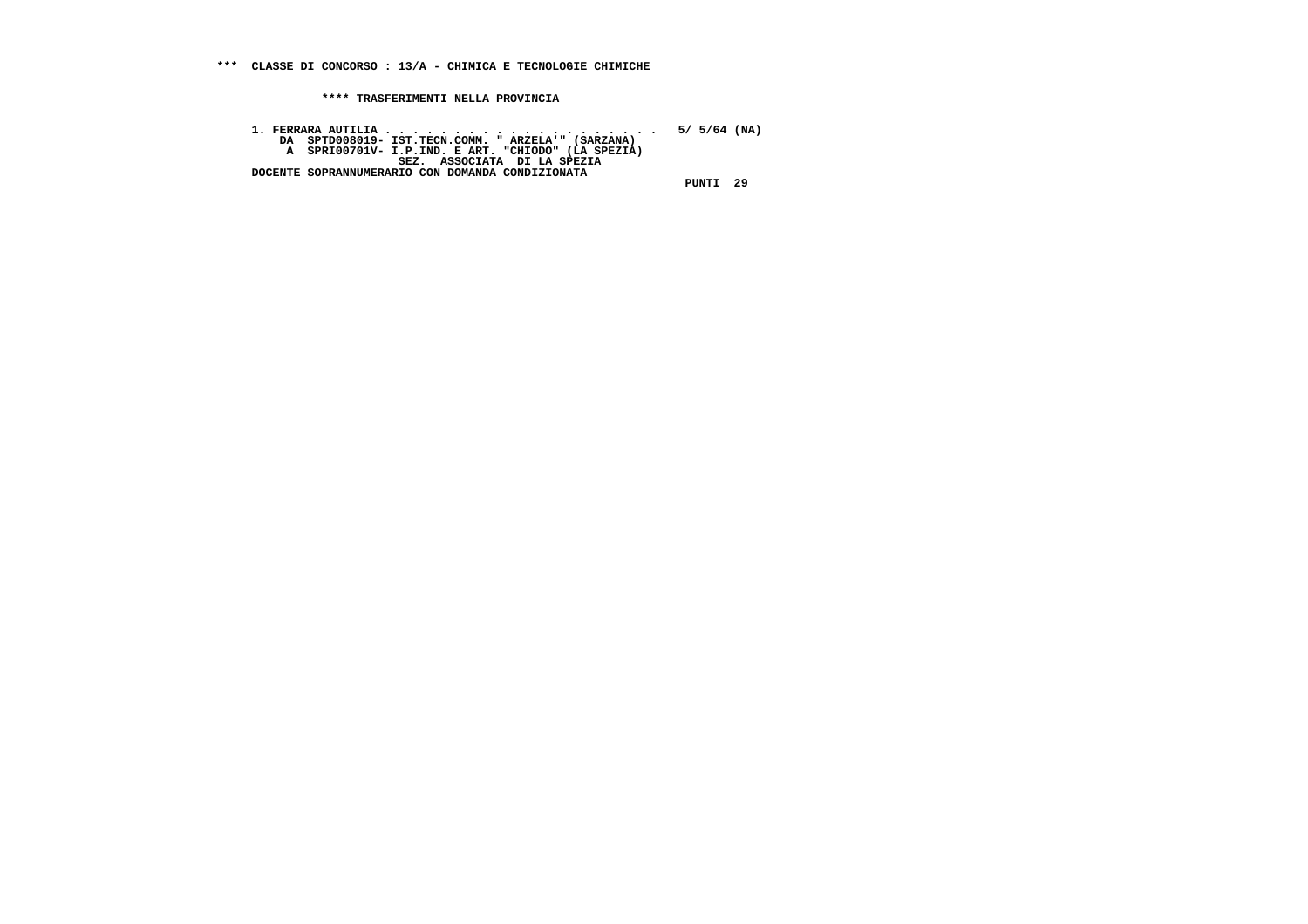**1. FERRARA AUTILIA . . . . . . . . . . . . . . . . . . . . 5/ 5/64 (NA) DA SPTD008019- IST.TECN.COMM. " ARZELA'" (SARZANA) A SPRI00701V- I.P.IND. E ART. "CHIODO" (LA SPEZIA) SEZ. ASSOCIATA DI LA SPEZIA DOCENTE SOPRANNUMERARIO CON DOMANDA CONDIZIONATA**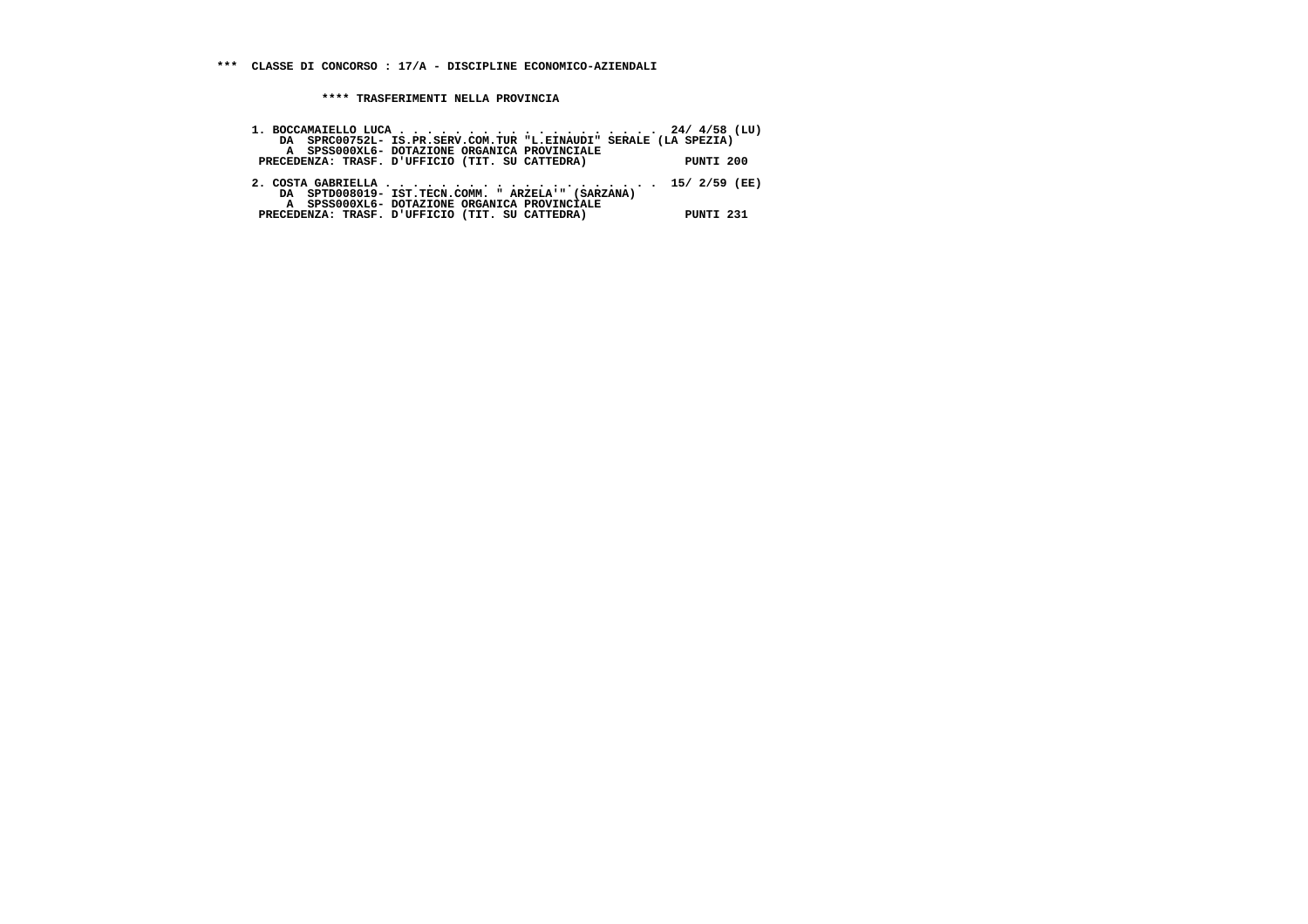| 1. BOCCAMAIELLO LUCA 24/ $4/58$ (LU)                                                            |           |
|-------------------------------------------------------------------------------------------------|-----------|
| DA SPRC00752L- IS.PR.SERV.COM.TUR "L.EINAUDI" SERALE (LA SPEZIA)                                |           |
| A SPSS000XL6- DOTAZIONE ORGANICA PROVINCIALE                                                    |           |
| PRECEDENZA: TRASF. D'UFFICIO (TIT. SU CATTEDRA)                                                 | PUNTI 200 |
| DA SPTD008019- IST.TECN.COMM. "ARZELA'" (SARZANA)                                               |           |
| A SPSS000XL6- DOTAZIONE ORGANICA PROVINCIALE<br>PRECEDENZA: TRASF. D'UFFICIO (TIT. SU CATTEDRA) | PUNTI 231 |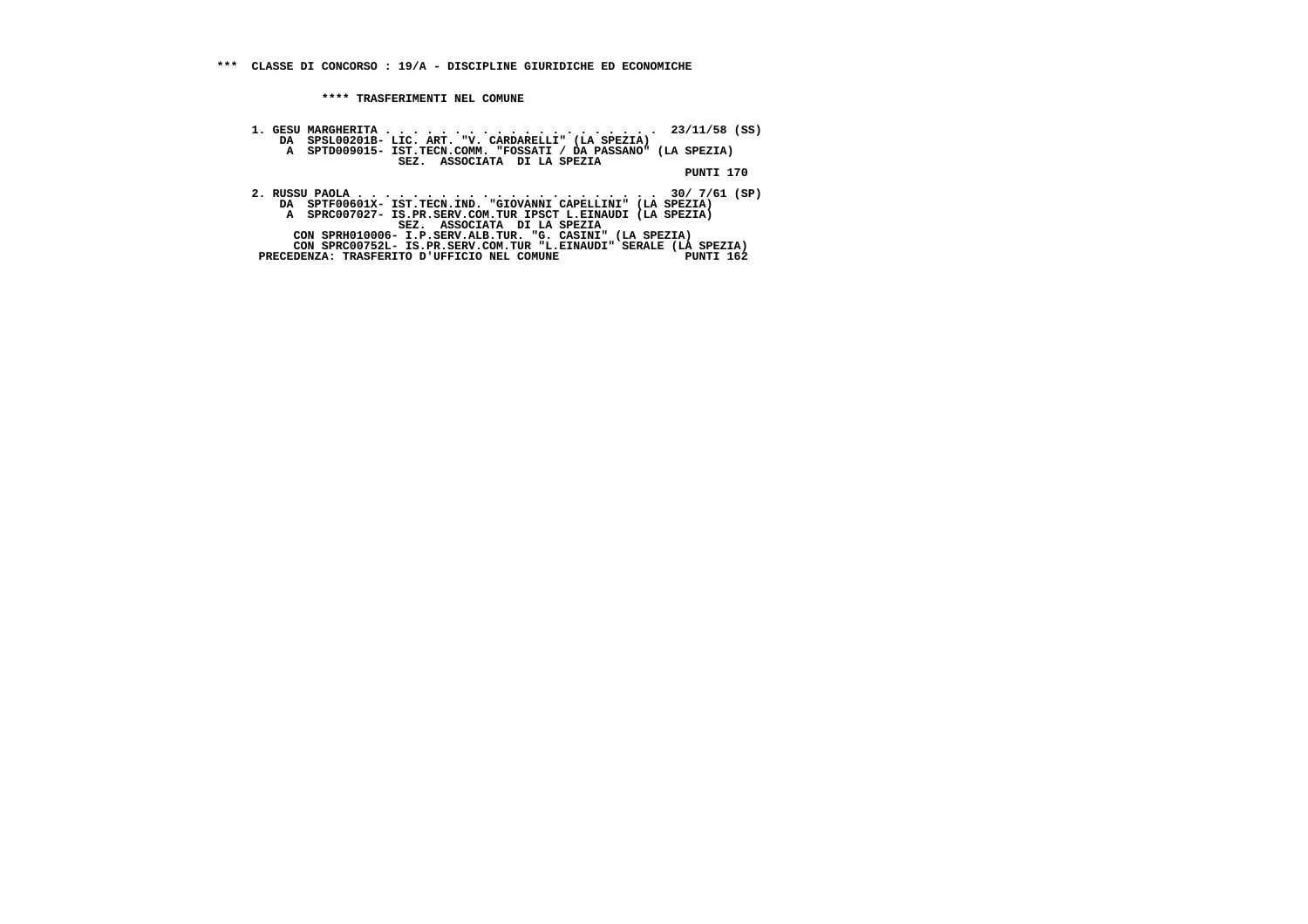**1. GESU MARGHERITA . . . . . . . . . . . . . . . . . . . . 23/11/58 (SS) DA SPSL00201B- LIC. ART. "V. CARDARELLI" (LA SPEZIA) A SPTD009015- IST.TECN.COMM. "FOSSATI / DA PASSANO" (LA SPEZIA) SEZ. ASSOCIATA DI LA SPEZIA PUNTI 170 2. RUSSU PAOLA . . . . . . . . . . . . . . . . . . . . . . 30/ 7/61 (SP) DA SPTF00601X- IST.TECN.IND. "GIOVANNI CAPELLINI" (LA SPEZIA) A SPRC007027- IS.PR.SERV.COM.TUR IPSCT L.EINAUDI (LA SPEZIA) SEZ. ASSOCIATA DI LA SPEZIA CON SPRH010006- I.P.SERV.ALB.TUR. "G. CASINI" (LA SPEZIA) CON SPRC00752L- IS.PR.SERV.COM.TUR "L.EINAUDI" SERALE (LA SPEZIA)**

PUNTI 162 $^{\degree}$ PRECEDENZA: TRASFERITO D'UFFICIO NEL COMUNE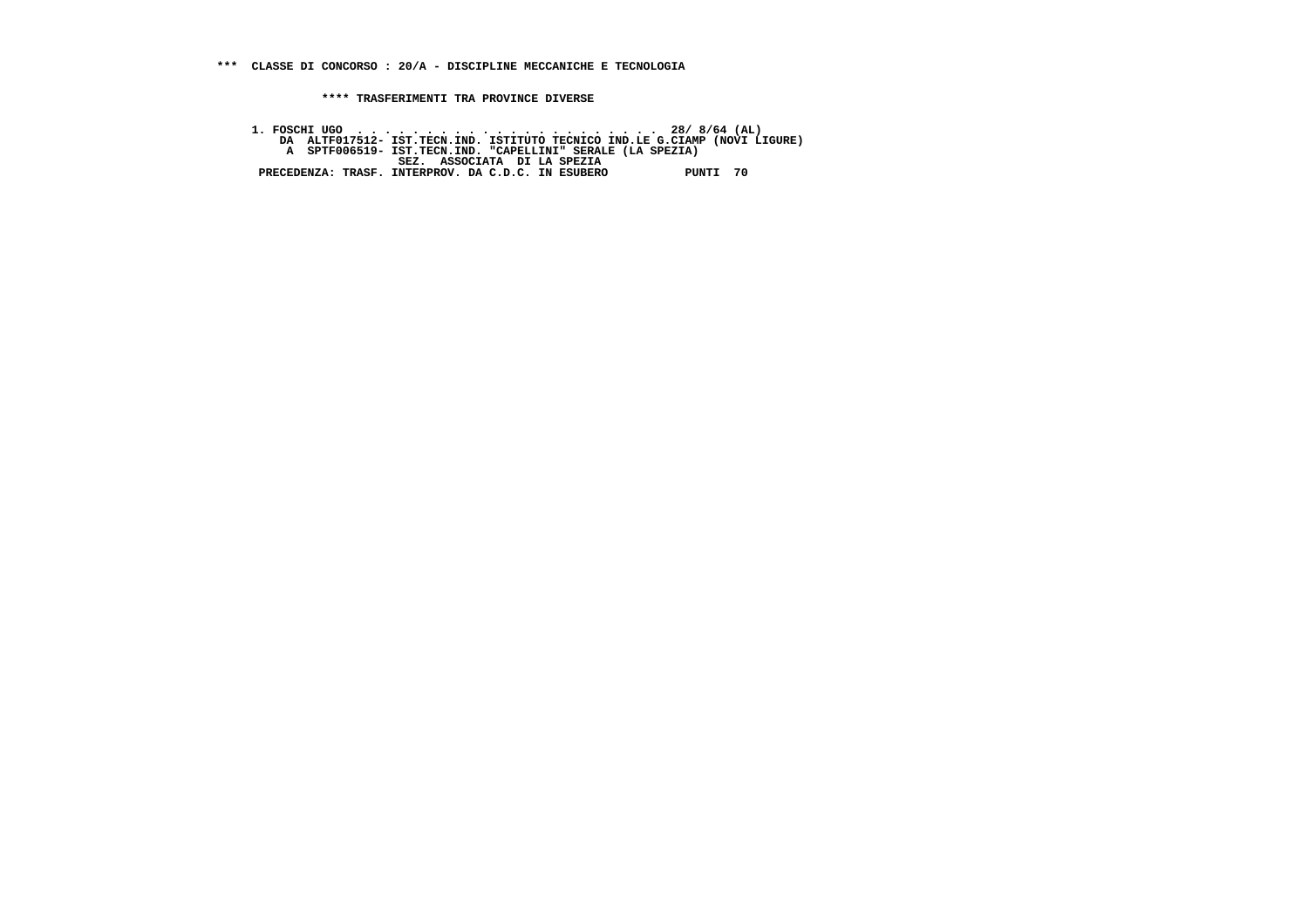**\*\*\*\* TRASFERIMENTI TRA PROVINCE DIVERSE**

 **1. FOSCHI UGO . . . . . . . . . . . . . . . . . . . . . . 28/ 8/64 (AL) DA ALTF017512- IST.TECN.IND. ISTITUTO TECNICO IND.LE G.CIAMP (NOVI LIGURE) A SPTF006519- IST.TECN.IND. "CAPELLINI" SERALE (LA SPEZIA) SEZ. ASSOCIATA DI LA SPEZIA PRECEDENZA: TRASF. INTERPROV. DA C.D.C. IN ESUBERO PUNTI 70**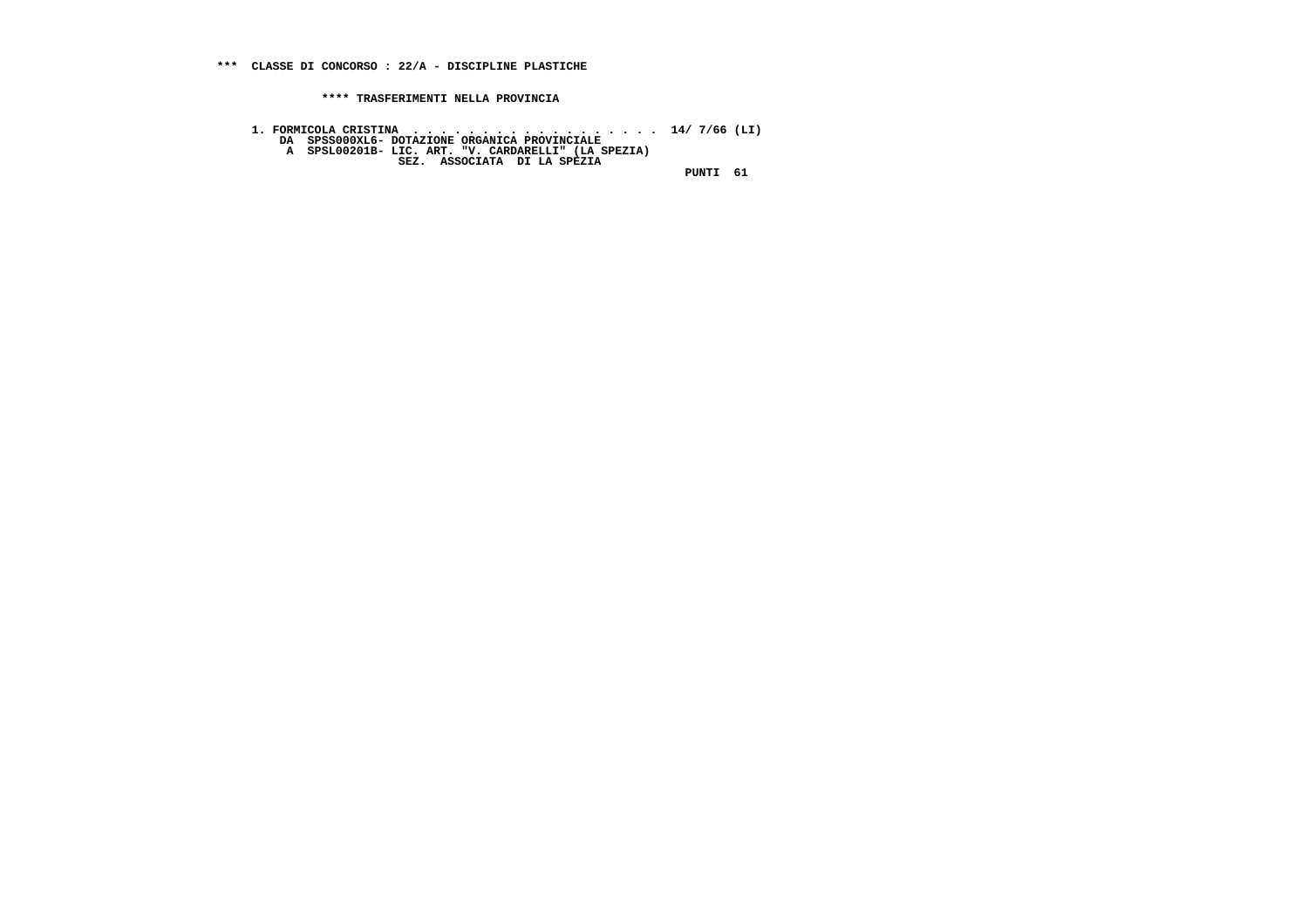1. FORMICOLA CRISTINA<br>DA SPSSOOOXL6- DOTAZIONE ORGANICA PROVINCIALE<br>A SPSLOO2O1B- LIC. ART. "V. CARDARELLI" (LA SPEZIA)<br>SEZ. ASSOCIATA DI LA SPEZIA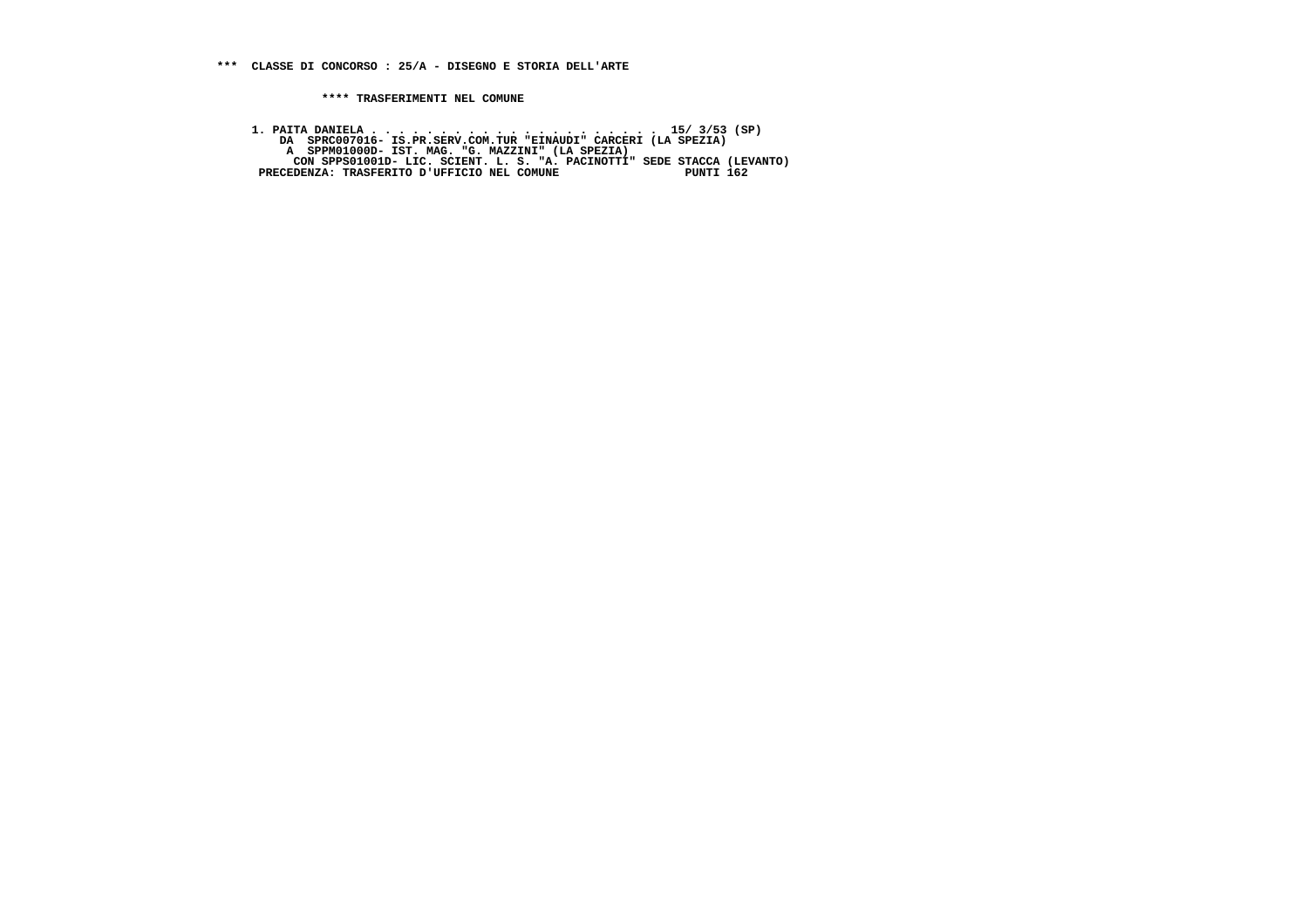**1. PAITA DANIELA . . . . . . . . . . . . . . . . . . . . . 15/ 3/53 (SP) DA SPRC007016- IS.PR.SERV.COM.TUR "EINAUDI" CARCERI (LA SPEZIA) A SPPM01000D- IST. MAG. "G. MAZZINI" (LA SPEZIA) CON SPPS01001D- LIC. SCIENT. L. S. "A. PACINOTTI" SEDE STACCA (LEVANTO) PRECEDENZA: TRASFERITO D'UFFICIO NEL COMUNE PUNTI 162**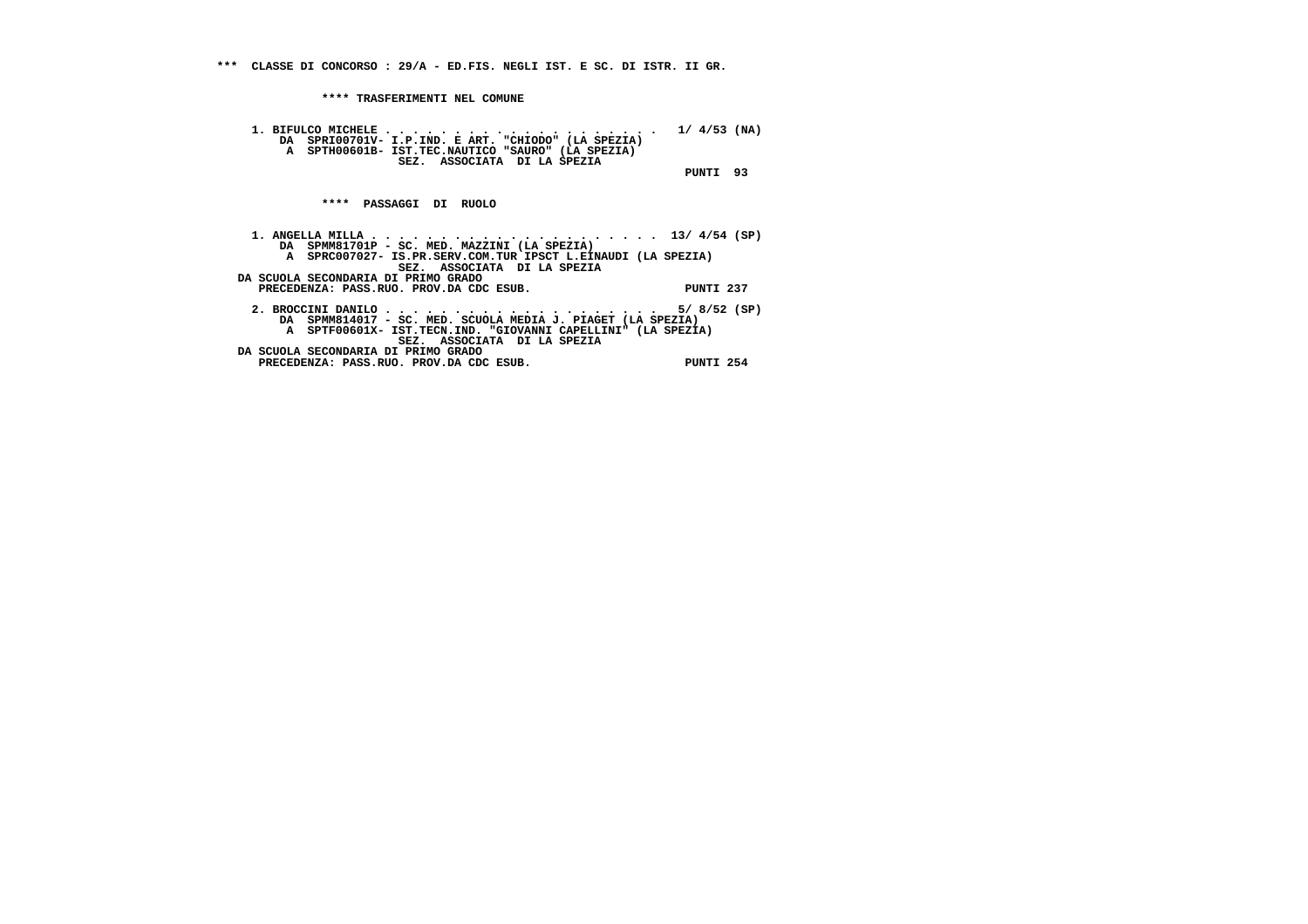**\*\*\* CLASSE DI CONCORSO : 29/A - ED.FIS. NEGLI IST. E SC. DI ISTR. II GR.**

 **\*\*\*\* TRASFERIMENTI NEL COMUNE**

 **PRECEDENZA: PASS.RUO. PROV.DA CDC ESUB. PUNTI 254**

```
 1. BIFULCO MICHELE . . . . . . . . . . . . . . . . . . . . 1/ 4/53 (NA)
DA SPRI00701V- I.P.IND. E ART. "CHIODO" (LA SPEZIA)
A SPTH00601B- IST.TEC.NAUTICO "SAURO" (LA SPEZIA) SEZ. ASSOCIATA DI LA SPEZIA PUNTI 93 **** PASSAGGI DI RUOLO 1. ANGELLA MILLA . . . . . . . . . . . . . . . . . . . . . 13/ 4/54 (SP)
DA SPMM81701P - SC. MED. MAZZINI (LA SPEZIA)
A SPRC007027- IS.PR.SERV.COM.TUR IPSCT L.EINAUDI (LA SPEZIA) SEZ. ASSOCIATA DI LA SPEZIA DA SCUOLA SECONDARIA DI PRIMO GRADO
PRECEDENZA: PASS.RUO. PROV.DA CDC ESUB. PUNTI 237 2. BROCCINI DANILO . . . . . . . . . . . . . . . . . . . . 5/ 8/52 (SP)
DA SPMM814017 - SC. MED. SCUOLA MEDIA J. PIAGET (LA SPEZIA)
A SPTF00601X- IST.TECN.IND. "GIOVANNI CAPELLINI" (LA SPEZIA) SEZ. ASSOCIATA DI LA SPEZIA DA SCUOLA SECONDARIA DI PRIMO GRADO
```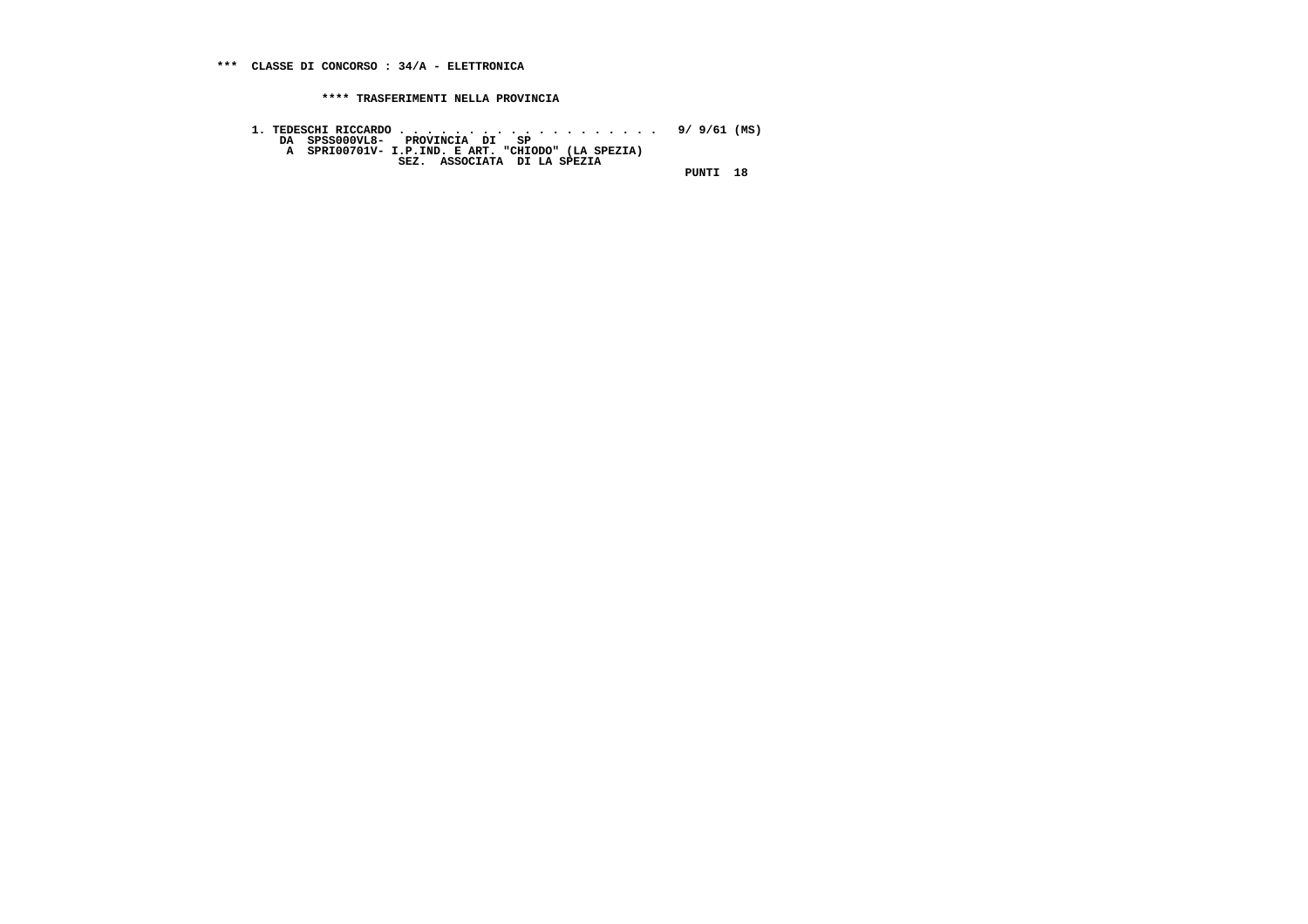**1. TEDESCHI RICCARDO . . . . . . . . . . . . . . . . . . . 9/ 9/61 (MS) DA SPSS000VL8- PROVINCIA DI SP A SPRI00701V- I.P.IND. E ART. "CHIODO" (LA SPEZIA) SEZ. ASSOCIATA DI LA SPEZIA PUNTI 18**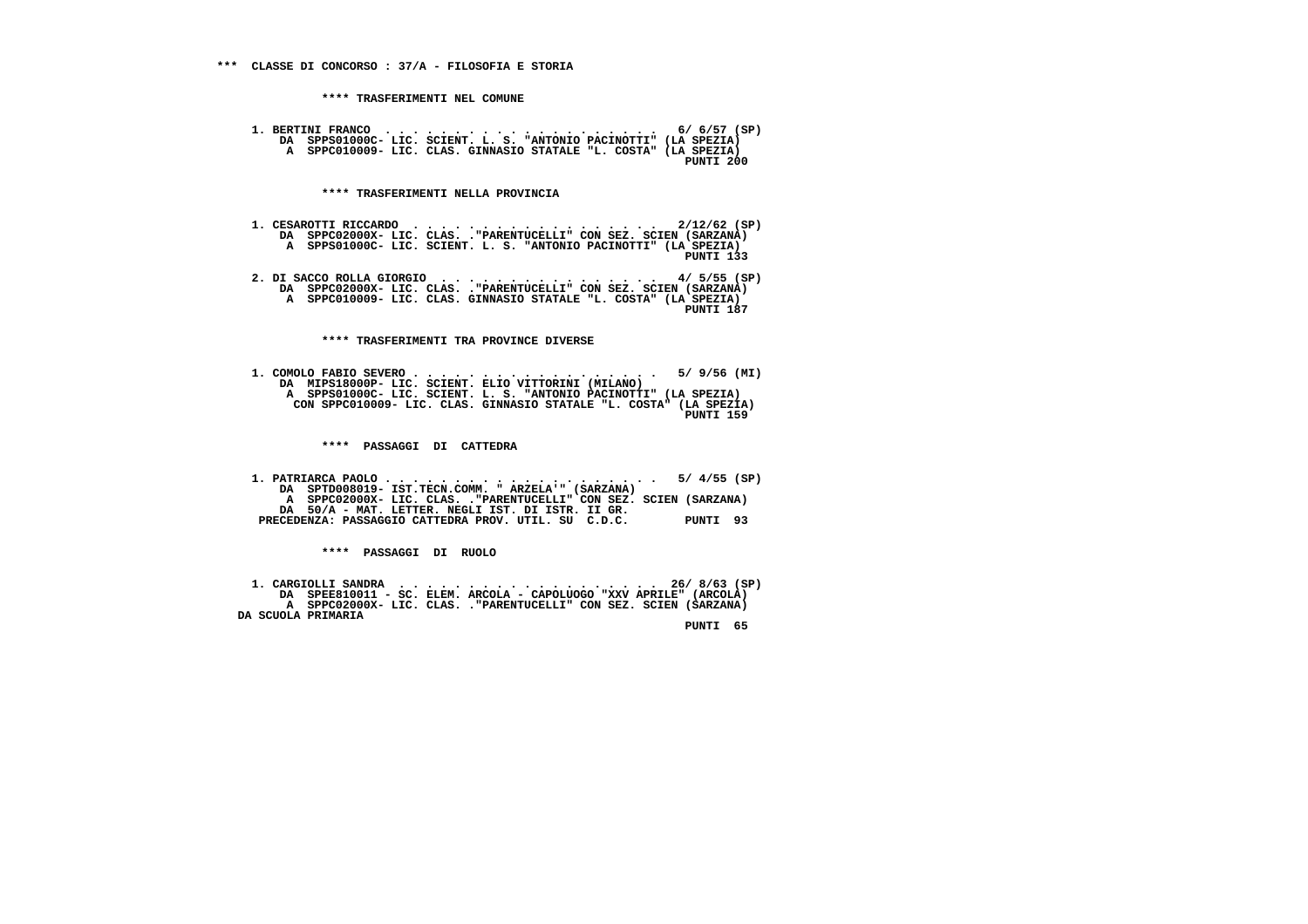**1. BERTINI FRANCO . . . . . . . . . . . . . . . . . . . . 6/ 6/57 (SP) DA SPPS01000C- LIC. SCIENT. L. S. "ANTONIO PACINOTTI" (LA SPEZIA) A SPPC010009- LIC. CLAS. GINNASIO STATALE "L. COSTA" (LA SPEZIA) PUNTI 200**

 **\*\*\*\* TRASFERIMENTI NELLA PROVINCIA**

- **1. CESAROTTI RICCARDO . . . . . . . . . . . . . . . . . . 2/12/62 (SP) DA SPPC02000X- LIC. CLAS. ."PARENTUCELLI" CON SEZ. SCIEN (SARZANA) A SPPS01000C- LIC. SCIENT. L. S. "ANTONIO PACINOTTI" (LA SPEZIA) PUNTI 133**
- **2. DI SACCO ROLLA GIORGIO . . . . . . . . . . . . . . . . 4/ 5/55 (SP) DA SPPC02000X- LIC. CLAS. ."PARENTUCELLI" CON SEZ. SCIEN (SARZANA) A SPPC010009- LIC. CLAS. GINNASIO STATALE "L. COSTA" (LA SPEZIA) PUNTI 187**

 **\*\*\*\* TRASFERIMENTI TRA PROVINCE DIVERSE**

 **1. COMOLO FABIO SEVERO . . . . . . . . . . . . . . . . . . 5/ 9/56 (MI) DA MIPS18000P- LIC. SCIENT. ELIO VITTORINI (MILANO) A SPPS01000C- LIC. SCIENT. L. S. "ANTONIO PACINOTTI" (LA SPEZIA) CON SPPC010009- LIC. CLAS. GINNASIO STATALE "L. COSTA" (LA SPEZIA) PUNTI 159**

 **\*\*\*\* PASSAGGI DI CATTEDRA**

 **1. PATRIARCA PAOLO . . . . . . . . . . . . . . . . . . . . 5/ 4/55 (SP) DA SPTD008019- IST.TECN.COMM. " ARZELA'" (SARZANA) A SPPC02000X- LIC. CLAS. ."PARENTUCELLI" CON SEZ. SCIEN (SARZANA) DA 50/A - MAT. LETTER. NEGLI IST. DI ISTR. II GR. PRECEDENZA: PASSAGGIO CATTEDRA PROV. UTIL. SU C.D.C. PUNTI 93**

 **\*\*\*\* PASSAGGI DI RUOLO**

 **1. CARGIOLLI SANDRA . . . . . . . . . . . . . . . . . . . 26/ 8/63 (SP) DA SPEE810011 - SC. ELEM. ARCOLA - CAPOLUOGO "XXV APRILE" (ARCOLA) A SPPC02000X- LIC. CLAS. ."PARENTUCELLI" CON SEZ. SCIEN (SARZANA) DA SCUOLA PRIMARIA**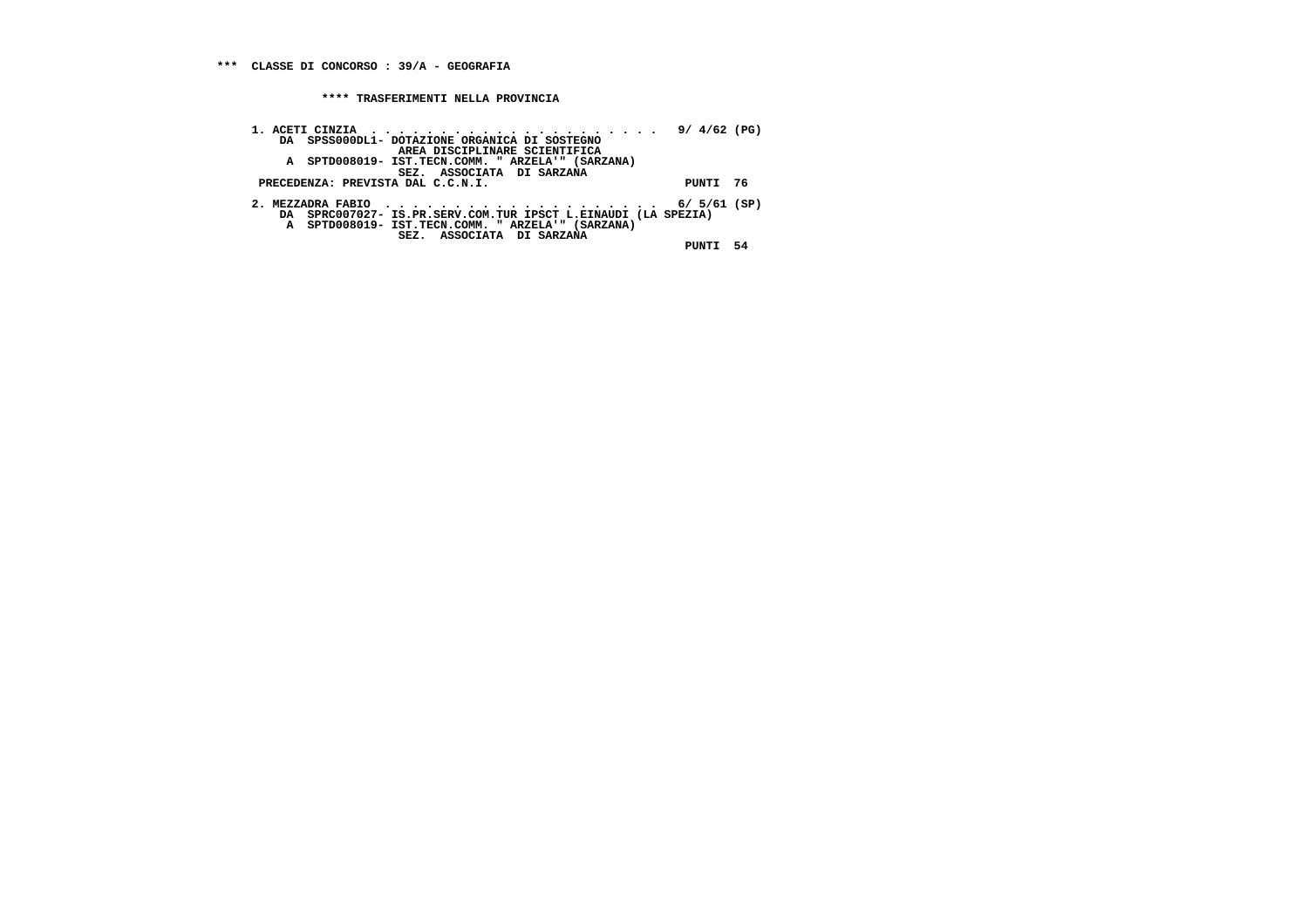**1. ACETI CINZIA . . . . . . . . . . . . . . . . . . . . . 9/ 4/62 (PG) DA SPSS000DL1- DOTAZIONE ORGANICA DI SOSTEGNO**AREA DISCIPLINARE SCIENTIFICA<br>A SPTD008019- IST.TECN.COMM. "ARZELA'" (SARZANA)<br>PRECEDENZA: PREVISTA DAL C.C.N.I.<br>PUNTI 76 2. MEZZADRA FABIO<br>DA SPRC007027- IS.PR.SERV.COM.TUR IPSCT L.EINAUDI (LA SPEZIA)<br>A SPTD008019- IST.TECN.COMM. "ARZELA'" (SARZANA)<br>SEZ. ASSOCIATA DI SARZANA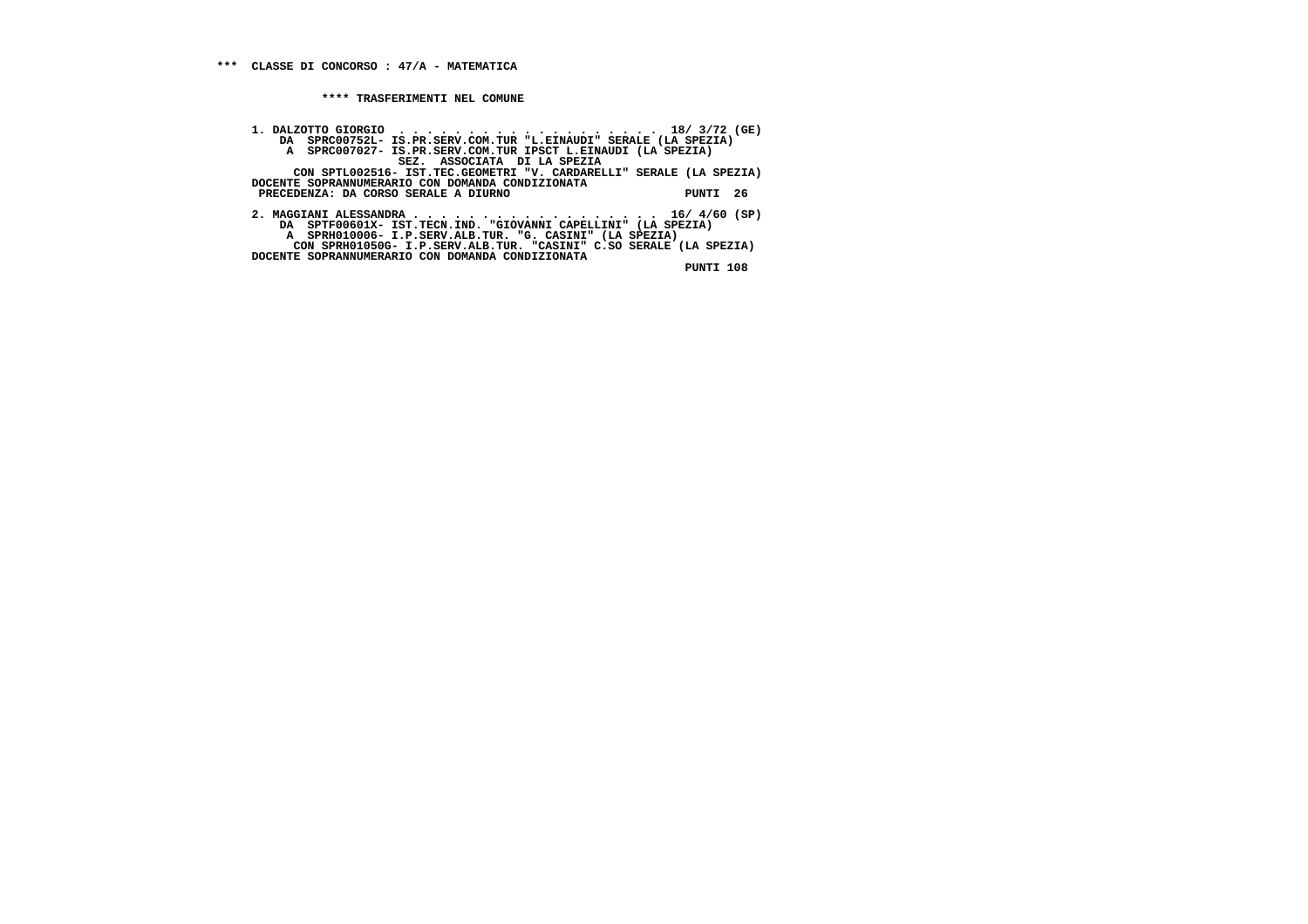**1. DALZOTTO GIORGIO . . . . . . . . . . . . . . . . . . . 18/ 3/72 (GE) DA SPRC00752L- IS.PR.SERV.COM.TUR "L.EINAUDI" SERALE (LA SPEZIA)**A SPRC007027- IS.PR.SERV.COM.TUR IPSCT L.EINAUDI (LA SPEZIA)<br>SEZ. ASSOCIATA DI LA SPEZIA<br>CON SPTL002516- IST.TEC.GEOMETRI "V. CARDARELLI" SERALE (LA SPEZIA)<br>DOCENTE SOPRANNUMERARIO CON DOMANDA CONDIZIONATA<br>PRECEDENZA: DA C  **2. MAGGIANI ALESSANDRA . . . . . . . . . . . . . . . . . . 16/ 4/60 (SP) DA SPTF00601X- IST.TECN.IND. "GIOVANNI CAPELLINI" (LA SPEZIA) A SPRH010006- I.P.SERV.ALB.TUR. "G. CASINI" (LA SPEZIA) CON SPRH01050G- I.P.SERV.ALB.TUR. "CASINI" C.SO SERALE (LA SPEZIA) DOCENTE SOPRANNUMERARIO CON DOMANDA CONDIZIONATA**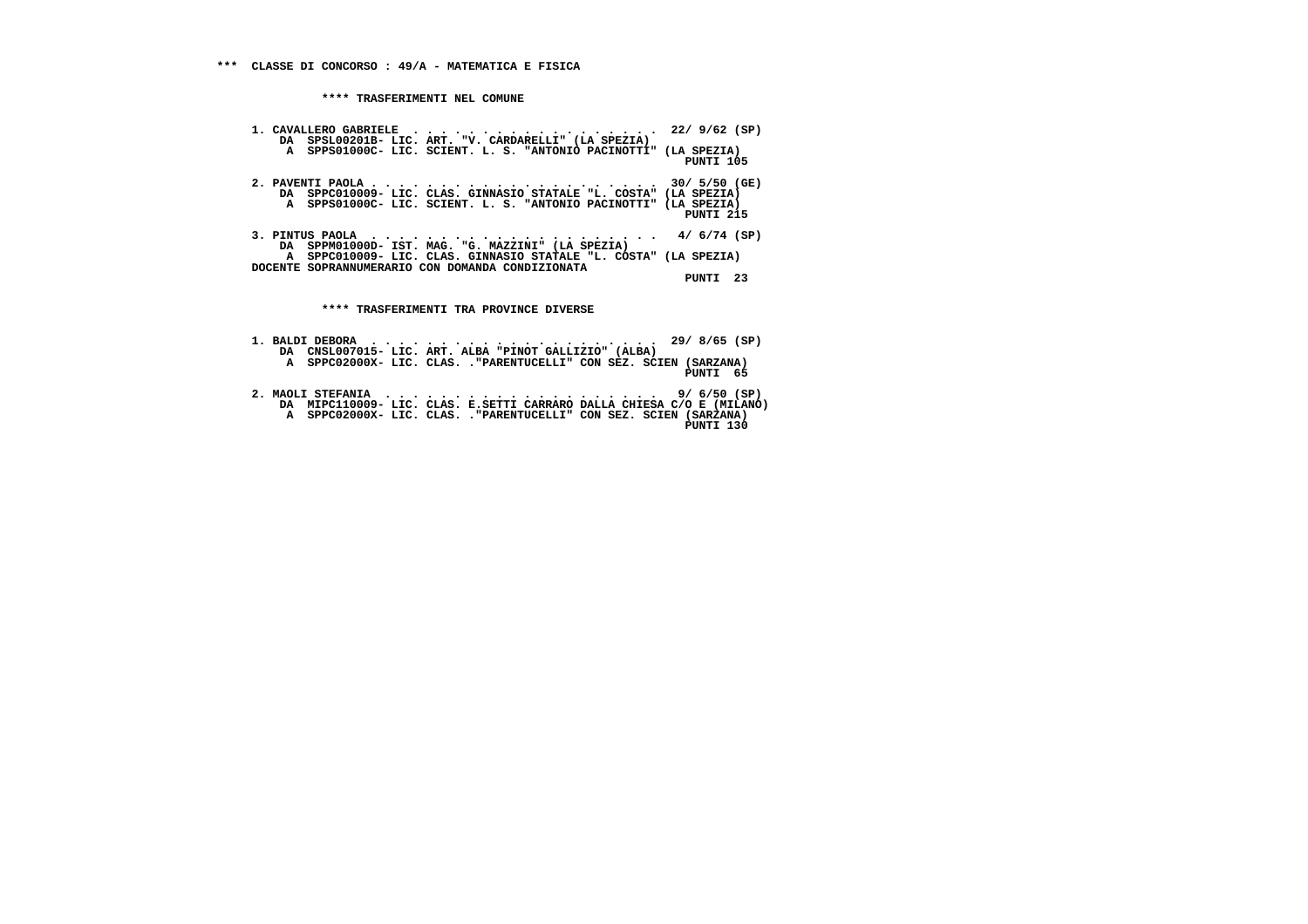| 1. CAVALLERO GABRIELE $\; \cdot \; \; \cdot \; \; \cdot \; \; \cdot \; \; \cdot \; \; \cdot \; \; \cdot \; \; \cdot \; \; \cdot \; \; \cdot \; \; \cdot \; \; \cdot \; \; \; \cdot \; \; \; \; \; \; 22 \, / \; \; 9/62 \; \; \mathrm{(SP)}$<br>DA SPSL00201B- LIC. ART. "V. CARDARELLI" (LA SPEZIA) |           |
|------------------------------------------------------------------------------------------------------------------------------------------------------------------------------------------------------------------------------------------------------------------------------------------------------|-----------|
| A SPPS01000C- LIC. SCIENT. L. S. "ANTONIO PACINOTTI" (LA SPEZIA)                                                                                                                                                                                                                                     | PUNTI 105 |
| DA SPPC010009- LIC. CLAS. GINNASIO STATALE "L. COSTA" (LA SPEZIA)<br>A SPPS01000C- LIC. SCIENT. L. S. "ANTONIO PACINOTTI" (LA SPEZIA)                                                                                                                                                                | PUNTI 215 |
| 3. PINTUS PAOLA $\cdots$ , 4/ 6/74 (SP)<br>DA SPPM01000D- IST. MAG. "G. MAZZINI" (LA SPEZIA)                                                                                                                                                                                                         |           |
| A SPPC010009- LIC. CLAS. GINNASIO STATALE "L. COSTA" (LA SPEZIA)<br>DOCENTE SOPRANNUMERARIO CON DOMANDA CONDIZIONATA                                                                                                                                                                                 | PUNTI 23  |
| **** TRASFERIMENTI TRA PROVINCE DIVERSE                                                                                                                                                                                                                                                              |           |
|                                                                                                                                                                                                                                                                                                      |           |

|  | DA CNSL007015- LIC. ART. ALBA "PINOT GALLIZIO" (ALBA)                                                          |          |
|--|----------------------------------------------------------------------------------------------------------------|----------|
|  | A SPPC02000X- LIC. CLAS. . "PARENTUCELLI" CON SEZ. SCIEN (SARZANA)                                             | PINTT 65 |
|  | 2. MAOLI STEFANIA $\cdots$ , 9/6/50 (SP)<br>na WIDGI10000 ITG GIAO I GERRI GARRADO DAIIA GUITGA G'O I (MILANO) |          |

```
 2. MAOLI STEFANIA . . . . . . . . . . . . . . . . . . . . 9/ 6/50 (SP)
DA MIPC110009- LIC. CLAS. E.SETTI CARRARO DALLA CHIESA C/O E (MILANO)
A SPPC02000X- LIC. CLAS. ."PARENTUCELLI" CON SEZ. SCIEN (SARZANA)
PUNTI 130
```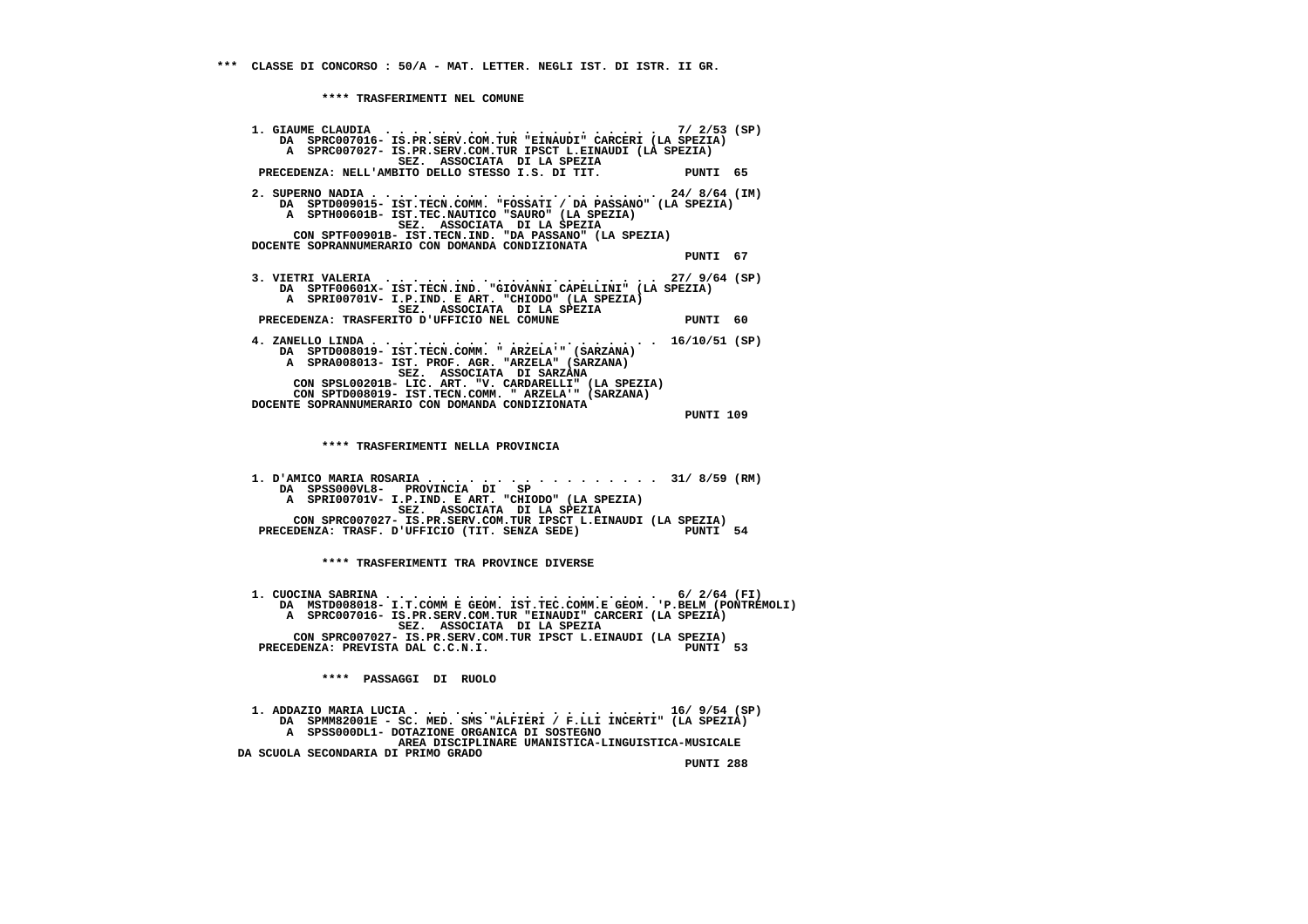**1. GIAUME CLAUDIA . . . . . . . . . . . . . . . . . . . . 7/ 2/53 (SP) DA SPRC007016- IS.PR.SERV.COM.TUR "EINAUDI" CARCERI (LA SPEZIA) A SPRC007027- IS.PR.SERV.COM.TUR IPSCT L.EINAUDI (LA SPEZIA) SEZ. ASSOCIATA DI LA SPEZIA PRECEDENZA: NELL'AMBITO DELLO STESSO I.S. DI TIT. PUNTI 65 2. SUPERNO NADIA . . . . . . . . . . . . . . . . . . . . . 24/ 8/64 (IM) DA SPTD009015- IST.TECN.COMM. "FOSSATI / DA PASSANO" (LA SPEZIA) A SPTH00601B- IST.TEC.NAUTICO "SAURO" (LA SPEZIA) SEZ. ASSOCIATA DI LA SPEZIA CON SPTF00901B- IST.TECN.IND. "DA PASSANO" (LA SPEZIA) DOCENTE SOPRANNUMERARIO CON DOMANDA CONDIZIONATA PUNTI 67 3. VIETRI VALERIA . . . . . . . . . . . . . . . . . . . . 27/ 9/64 (SP) DA SPTF00601X- IST.TECN.IND. "GIOVANNI CAPELLINI" (LA SPEZIA) A SPRI00701V- I.P.IND. E ART. "CHIODO" (LA SPEZIA) SEZ. ASSOCIATA DI LA SPEZIA PRECEDENZA: TRASFERITO D'UFFICIO NEL COMUNE PUNTI 60 4. ZANELLO LINDA . . . . . . . . . . . . . . . . . . . . . 16/10/51 (SP) DA SPTD008019- IST.TECN.COMM. " ARZELA'" (SARZANA) A SPRA008013- IST. PROF. AGR. "ARZELA" (SARZANA) SEZ. ASSOCIATA DI SARZANA CON SPSL00201B- LIC. ART. "V. CARDARELLI" (LA SPEZIA) CON SPTD008019- IST.TECN.COMM. " ARZELA'" (SARZANA) DOCENTE SOPRANNUMERARIO CON DOMANDA CONDIZIONATA PUNTI 109 \*\*\*\* TRASFERIMENTI NELLA PROVINCIA 1. D'AMICO MARIA ROSARIA . . . . . . . . . . . . . . . . . 31/ 8/59 (RM) DA SPSS000VL8- PROVINCIA DI SP A SPRI00701V- I.P.IND. E ART. "CHIODO" (LA SPEZIA) SEZ. ASSOCIATA DI LA SPEZIA CON SPRC007027- IS.PR.SERV.COM.TUR IPSCT L.EINAUDI (LA SPEZIA)**PUNTI 54 PRECEDENZA: TRASF. D'UFFICIO (TIT. SENZA SEDE)  **\*\*\*\* TRASFERIMENTI TRA PROVINCE DIVERSE 1. CUOCINA SABRINA . . . . . . . . . . . . . . . . . . . . 6/ 2/64 (FI) DA MSTD008018- I.T.COMM E GEOM. IST.TEC.COMM.E GEOM. 'P.BELM (PONTREMOLI) A SPRC007016- IS.PR.SERV.COM.TUR "EINAUDI" CARCERI (LA SPEZIA) SEZ. ASSOCIATA DI LA SPEZIA CON SPRC007027- IS.PR.SERV.COM.TUR IPSCT L.EINAUDI (LA SPEZIA)**PINTT 53 PRECEDENZA: PREVISTA DAL C.C.N.I.  **\*\*\*\* PASSAGGI DI RUOLO 1. ADDAZIO MARIA LUCIA . . . . . . . . . . . . . . . . . . 16/ 9/54 (SP) DA SPMM82001E - SC. MED. SMS "ALFIERI / F.LLI INCERTI" (LA SPEZIA) A SPSS000DL1- DOTAZIONE ORGANICA DI SOSTEGNO AREA DISCIPLINARE UMANISTICA-LINGUISTICA-MUSICALE DA SCUOLA SECONDARIA DI PRIMO GRADO**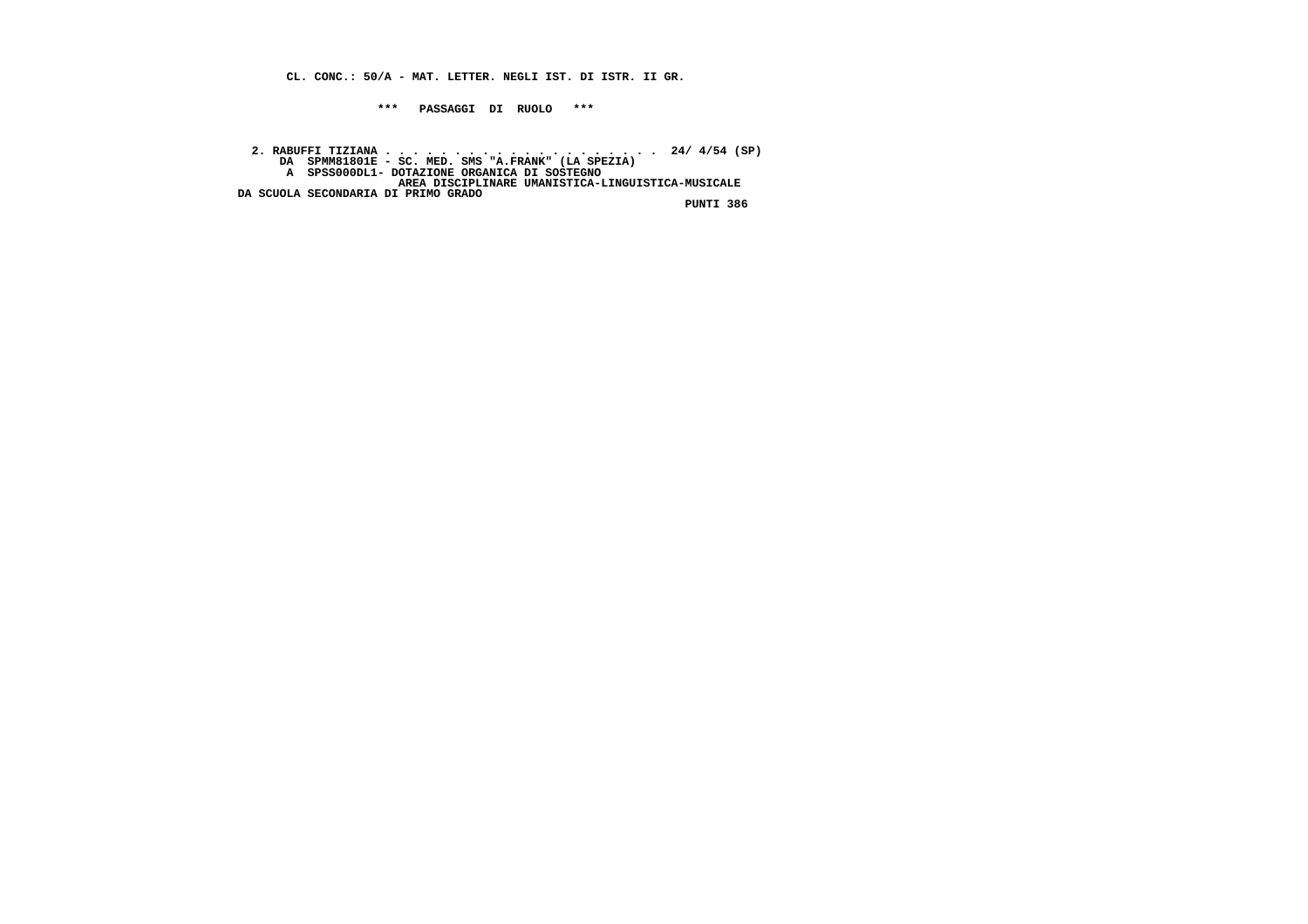**CL. CONC.: 50/A - MAT. LETTER. NEGLI IST. DI ISTR. II GR.**

 **\*\*\* PASSAGGI DI RUOLO \*\*\***

 **2. RABUFFI TIZIANA . . . . . . . . . . . . . . . . . . . . 24/ 4/54 (SP) DA SPMM81801E - SC. MED. SMS "A.FRANK" (LA SPEZIA) A SPSS000DL1- DOTAZIONE ORGANICA DI SOSTEGNO AREA DISCIPLINARE UMANISTICA-LINGUISTICA-MUSICALE DA SCUOLA SECONDARIA DI PRIMO GRADO PUNTI 386**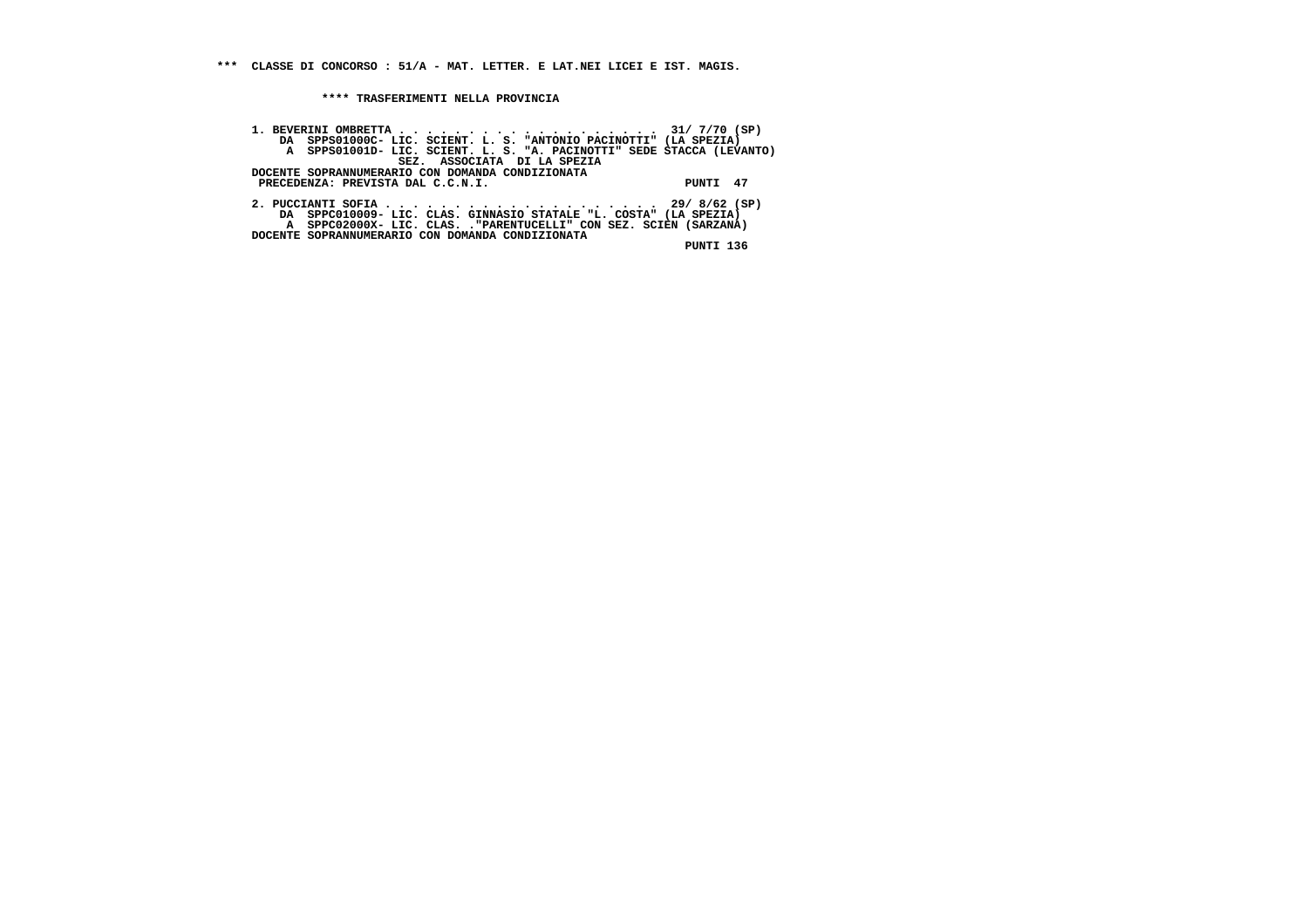**1. BEVERINI OMBRETTA . . . . . . . . . . . . . . . . . . . 31/ 7/70 (SP) DA SPPS01000C- LIC. SCIENT. L. S. "ANTONIO PACINOTTI" (LA SPEZIA) A SPPS01001D- LIC. SCIENT. L. S. "A. PACINOTTI" SEDE STACCA (LEVANTO) SEZ. ASSOCIATA DI LA SPEZIA DOCENTE SOPRANNUMERARIO CON DOMANDA CONDIZIONATA PRECEDENZA: PREVISTA DAL C.C.N.I. PUNTI 47 2. PUCCIANTI SOFIA . . . . . . . . . . . . . . . . . . . . 29/ 8/62 (SP) DA SPPC010009- LIC. CLAS. GINNASIO STATALE "L. COSTA" (LA SPEZIA) A SPPC02000X- LIC. CLAS. ."PARENTUCELLI" CON SEZ. SCIEN (SARZANA) DOCENTE SOPRANNUMERARIO CON DOMANDA CONDIZIONATA PUNTI 136**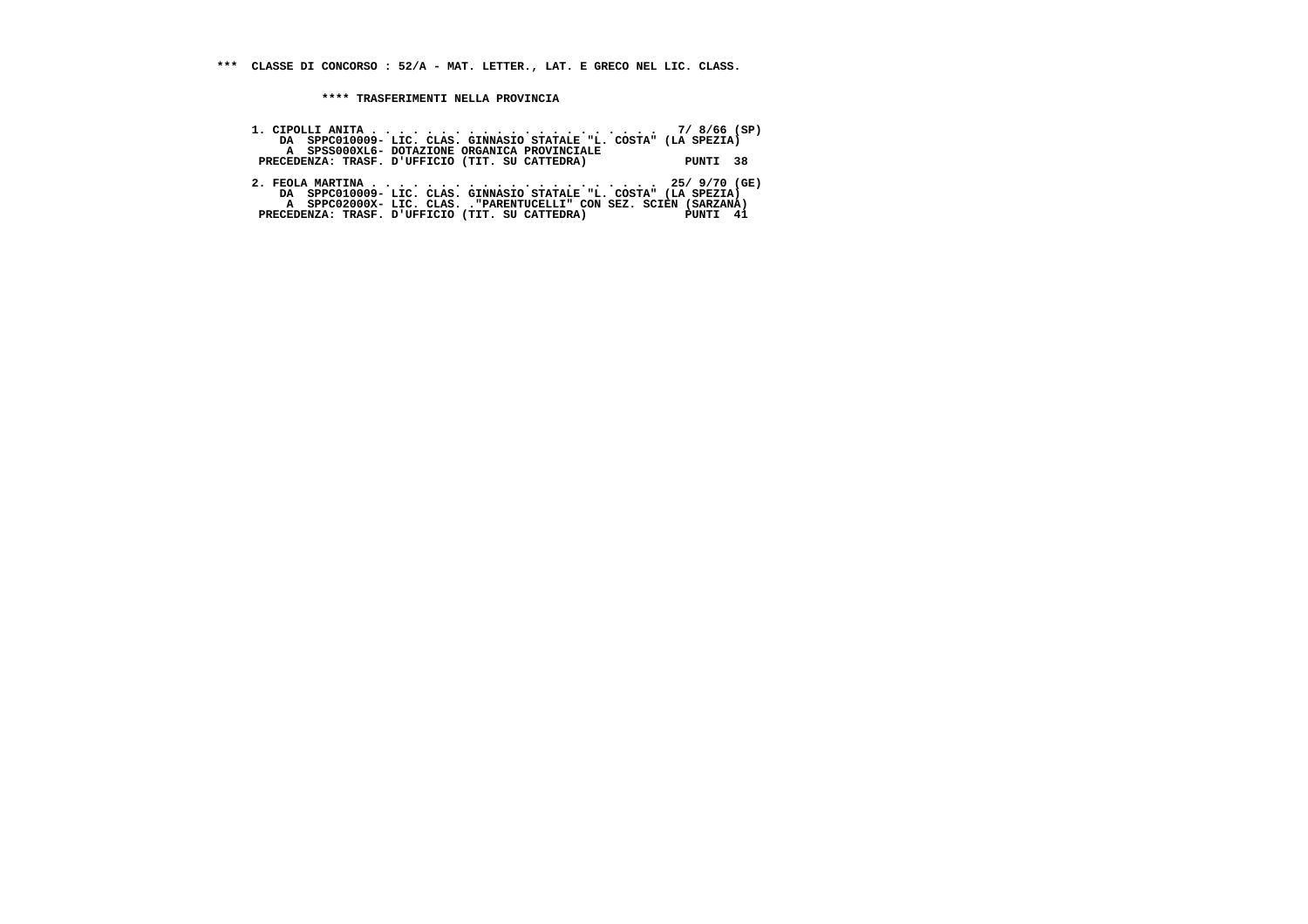| DA SPPC010009- LIC. CLAS. GINNASIO STATALE "L. COSTA" (LA SPEZIA)  |          |
|--------------------------------------------------------------------|----------|
| A SPSS000XL6- DOTAZIONE ORGANICA PROVINCIALE                       |          |
| PRECEDENZA: TRASF. D'UFFICIO (TIT. SU CATTEDRA)                    | PUNTI 38 |
|                                                                    |          |
|                                                                    |          |
| DA SPPC010009- LIC. CLAS. GINNASIO STATALE "L. COSTA" (LA SPEZIA)  |          |
| A SPPC02000X- LIC. CLAS. . "PARENTUCELLI" CON SEZ. SCIEN (SARZANA) |          |
| PRECEDENZA: TRASF. D'UFFICIO (TIT. SU CATTEDRA) PUNTI 41           |          |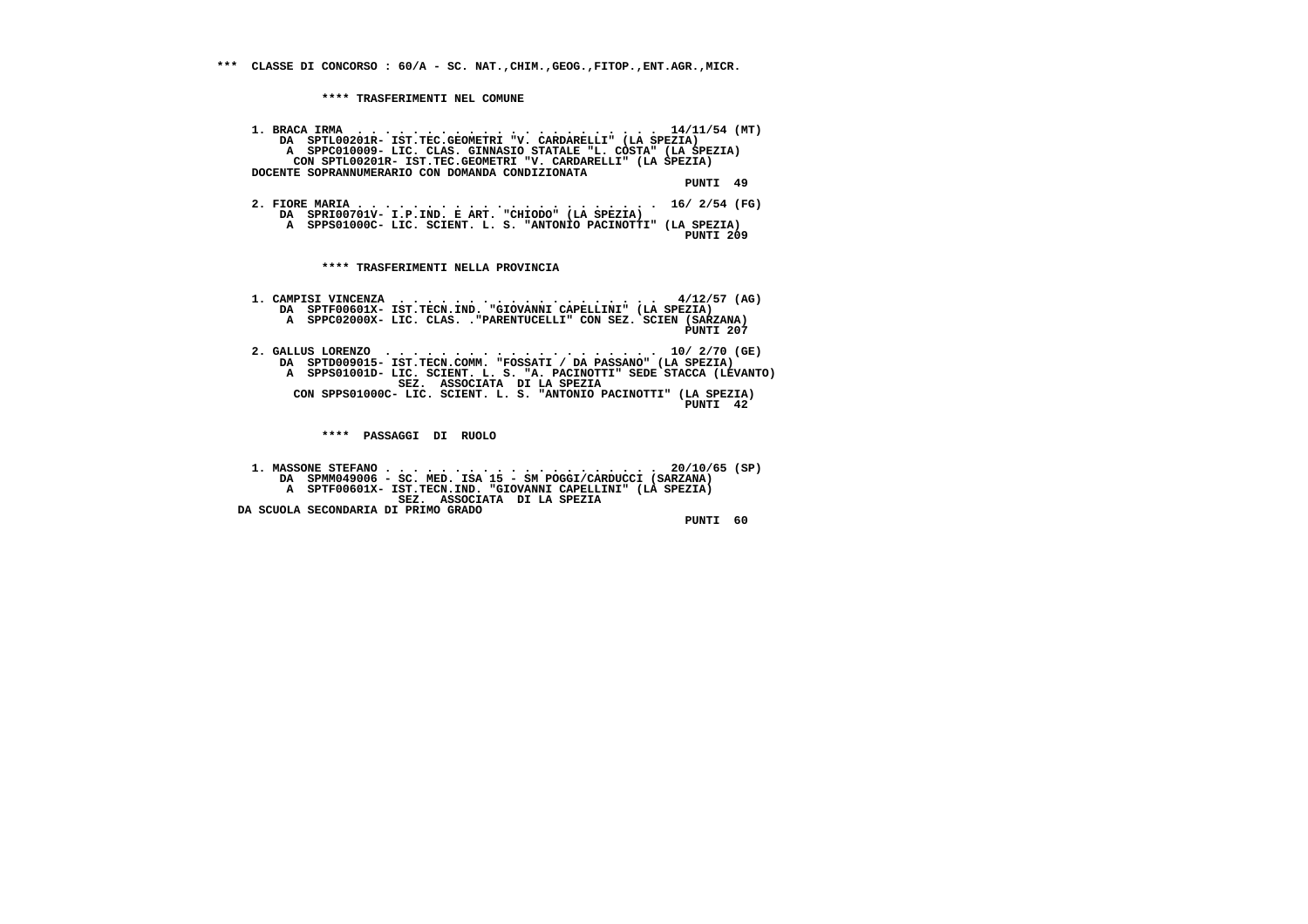**\*\*\* CLASSE DI CONCORSO : 60/A - SC. NAT.,CHIM.,GEOG.,FITOP.,ENT.AGR.,MICR.**

 **\*\*\*\* TRASFERIMENTI NEL COMUNE**

 **1. BRACA IRMA . . . . . . . . . . . . . . . . . . . . . . 14/11/54 (MT) DA SPTL00201R- IST.TEC.GEOMETRI "V. CARDARELLI" (LA SPEZIA) A SPPC010009- LIC. CLAS. GINNASIO STATALE "L. COSTA" (LA SPEZIA) CON SPTL00201R- IST.TEC.GEOMETRI "V. CARDARELLI" (LA SPEZIA) DOCENTE SOPRANNUMERARIO CON DOMANDA CONDIZIONATA PUNTI 49 2. FIORE MARIA . . . . . . . . . . . . . . . . . . . . . . 16/ 2/54 (FG) DA SPRI00701V- I.P.IND. E ART. "CHIODO" (LA SPEZIA) A SPPS01000C- LIC. SCIENT. L. S. "ANTONIO PACINOTTI" (LA SPEZIA) PUNTI 209 \*\*\*\* TRASFERIMENTI NELLA PROVINCIA 1. CAMPISI VINCENZA . . . . . . . . . . . . . . . . . . . 4/12/57 (AG) DA SPTF00601X- IST.TECN.IND. "GIOVANNI CAPELLINI" (LA SPEZIA) A SPPC02000X- LIC. CLAS. ."PARENTUCELLI" CON SEZ. SCIEN (SARZANA) PUNTI 207 2. GALLUS LORENZO . . . . . . . . . . . . . . . . . . . . 10/ 2/70 (GE) DA SPTD009015- IST.TECN.COMM. "FOSSATI / DA PASSANO" (LA SPEZIA) A SPPS01001D- LIC. SCIENT. L. S. "A. PACINOTTI" SEDE STACCA (LEVANTO) SEZ. ASSOCIATA DI LA SPEZIA CON SPPS01000C- LIC. SCIENT. L. S. "ANTONIO PACINOTTI" (LA SPEZIA) PUNTI 42 \*\*\*\* PASSAGGI DI RUOLO 1. MASSONE STEFANO . . . . . . . . . . . . . . . . . . . . 20/10/65 (SP) DA SPMM049006 - SC. MED. ISA 15 - SM POGGI/CARDUCCI (SARZANA) A SPTF00601X- IST.TECN.IND. "GIOVANNI CAPELLINI" (LA SPEZIA) SEZ. ASSOCIATA DI LA SPEZIA DA SCUOLA SECONDARIA DI PRIMO GRADO**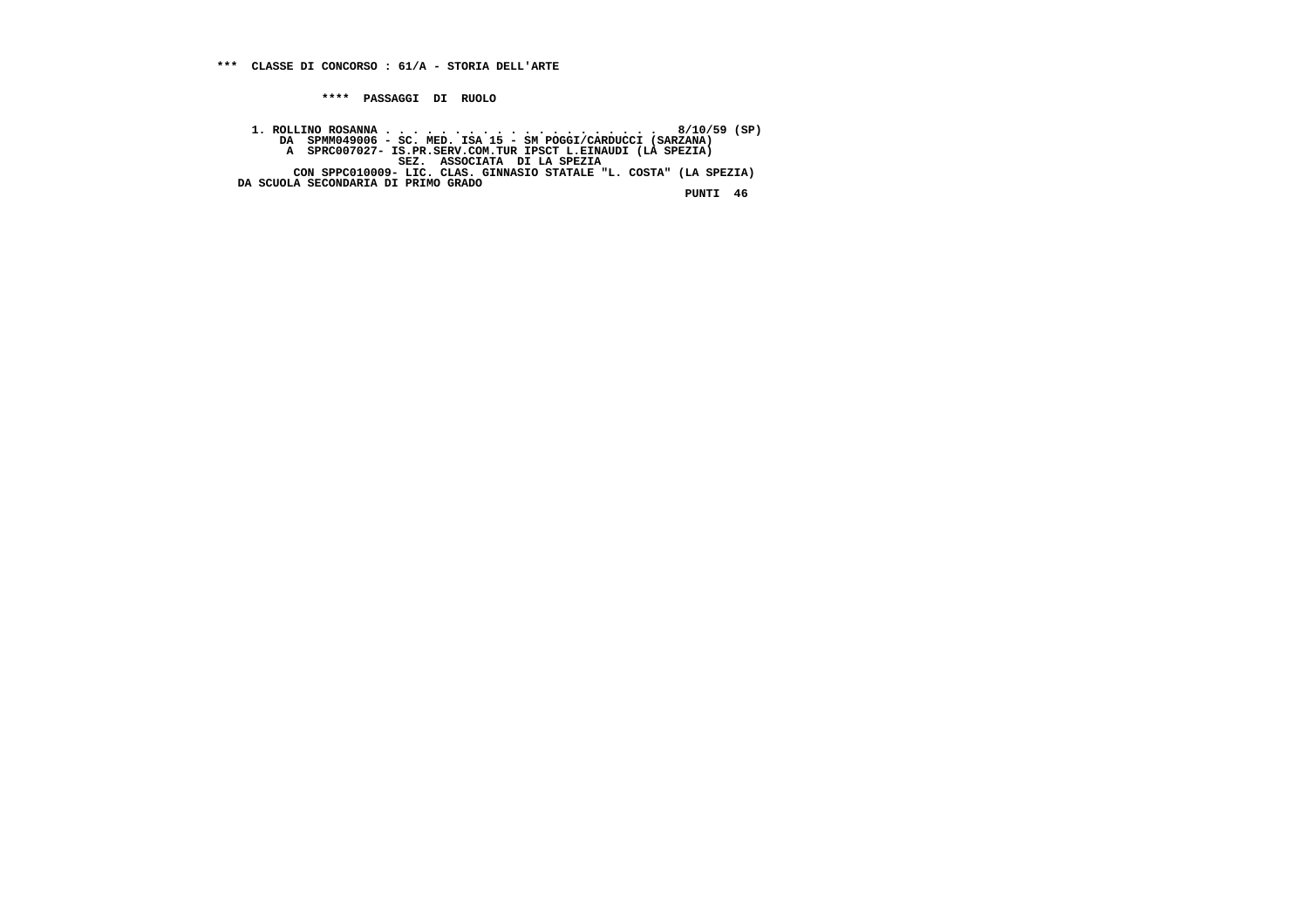**\*\*\*\* PASSAGGI DI RUOLO**

 **1. ROLLINO ROSANNA . . . . . . . . . . . . . . . . . . . . 8/10/59 (SP) DA SPMM049006 - SC. MED. ISA 15 - SM POGGI/CARDUCCI (SARZANA) A SPRC007027- IS.PR.SERV.COM.TUR IPSCT L.EINAUDI (LA SPEZIA) SEZ. ASSOCIATA DI LA SPEZIA CON SPPC010009- LIC. CLAS. GINNASIO STATALE "L. COSTA" (LA SPEZIA) DA SCUOLA SECONDARIA DI PRIMO GRADO**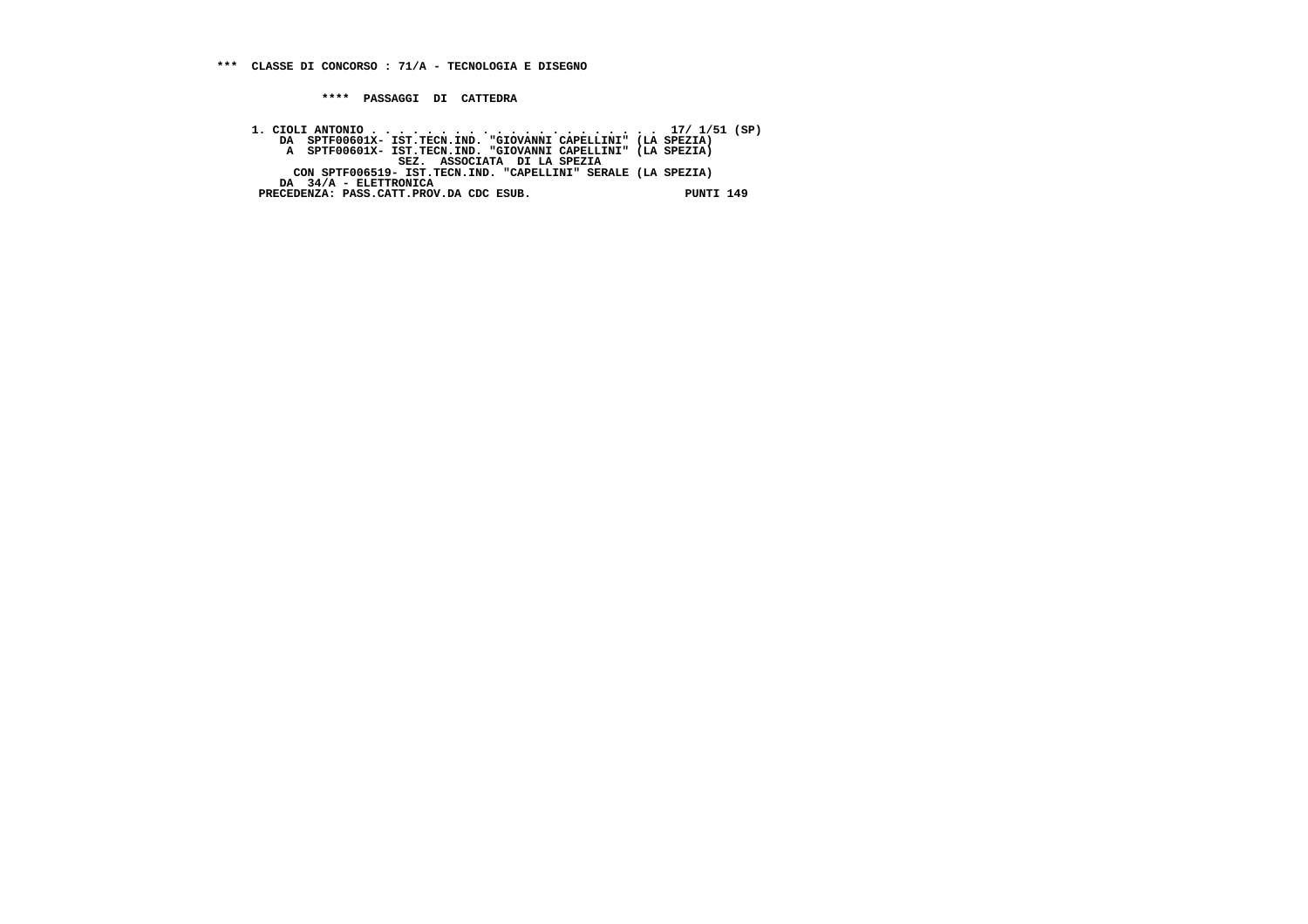**\*\*\*\* PASSAGGI DI CATTEDRA**

 **1. CIOLI ANTONIO . . . . . . . . . . . . . . . . . . . . . 17/ 1/51 (SP) DA SPTF00601X- IST.TECN.IND. "GIOVANNI CAPELLINI" (LA SPEZIA) A SPTF00601X- IST.TECN.IND. "GIOVANNI CAPELLINI" (LA SPEZIA) SEZ. ASSOCIATA DI LA SPEZIA CON SPTF006519- IST.TECN.IND. "CAPELLINI" SERALE (LA SPEZIA) DA 34/A - ELETTRONICA PRECEDENZA: PASS.CATT.PROV.DA CDC ESUB. PUNTI 149**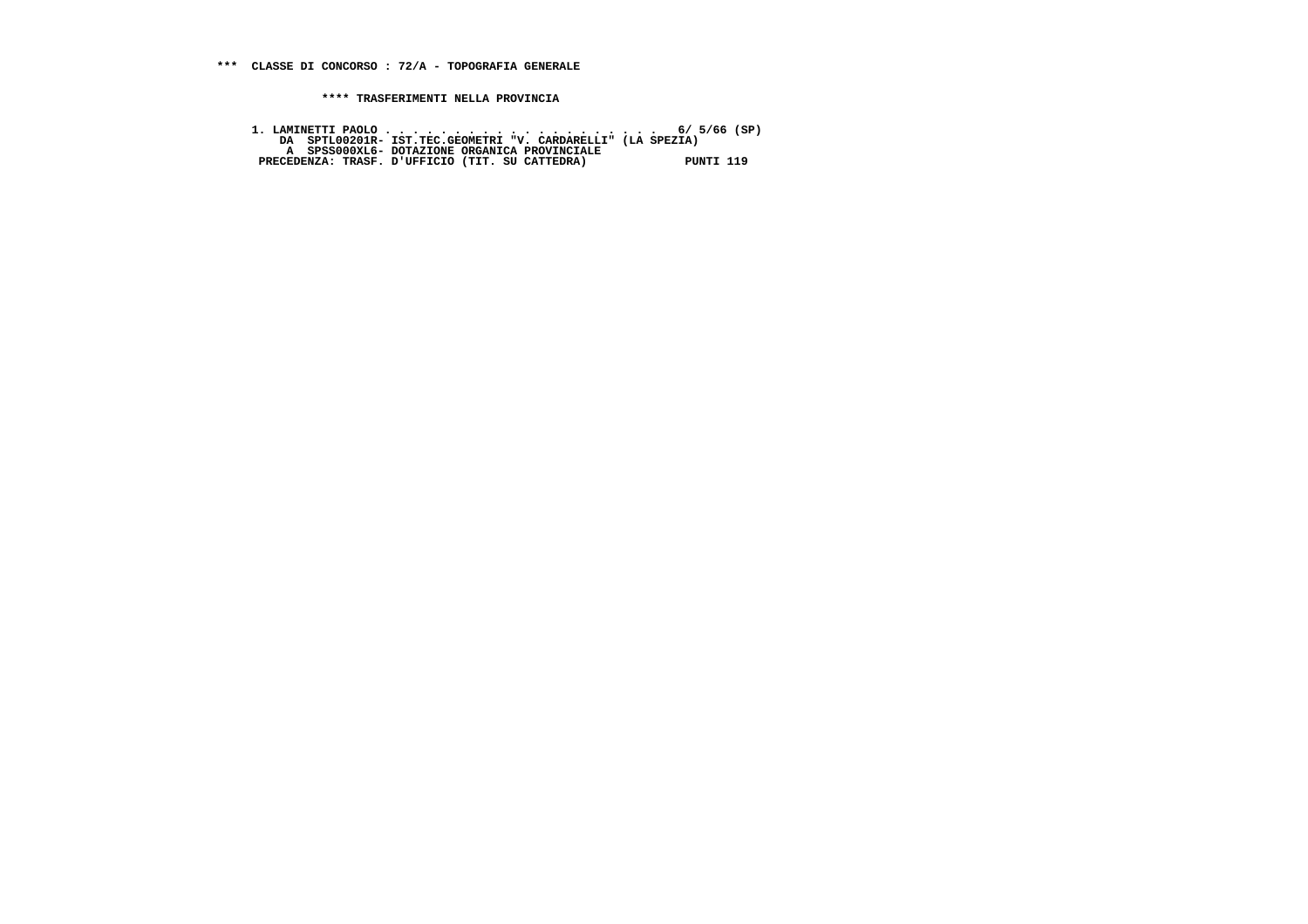**1. LAMINETTI PAOLO . . . . . . . . . . . . . . . . . . . . 6/ 5/66 (SP) DA SPTL00201R- IST.TEC.GEOMETRI "V. CARDARELLI" (LA SPEZIA) A SPSS000XL6- DOTAZIONE ORGANICA PROVINCIALE PRECEDENZA: TRASF. D'UFFICIO (TIT. SU CATTEDRA) PUNTI 119**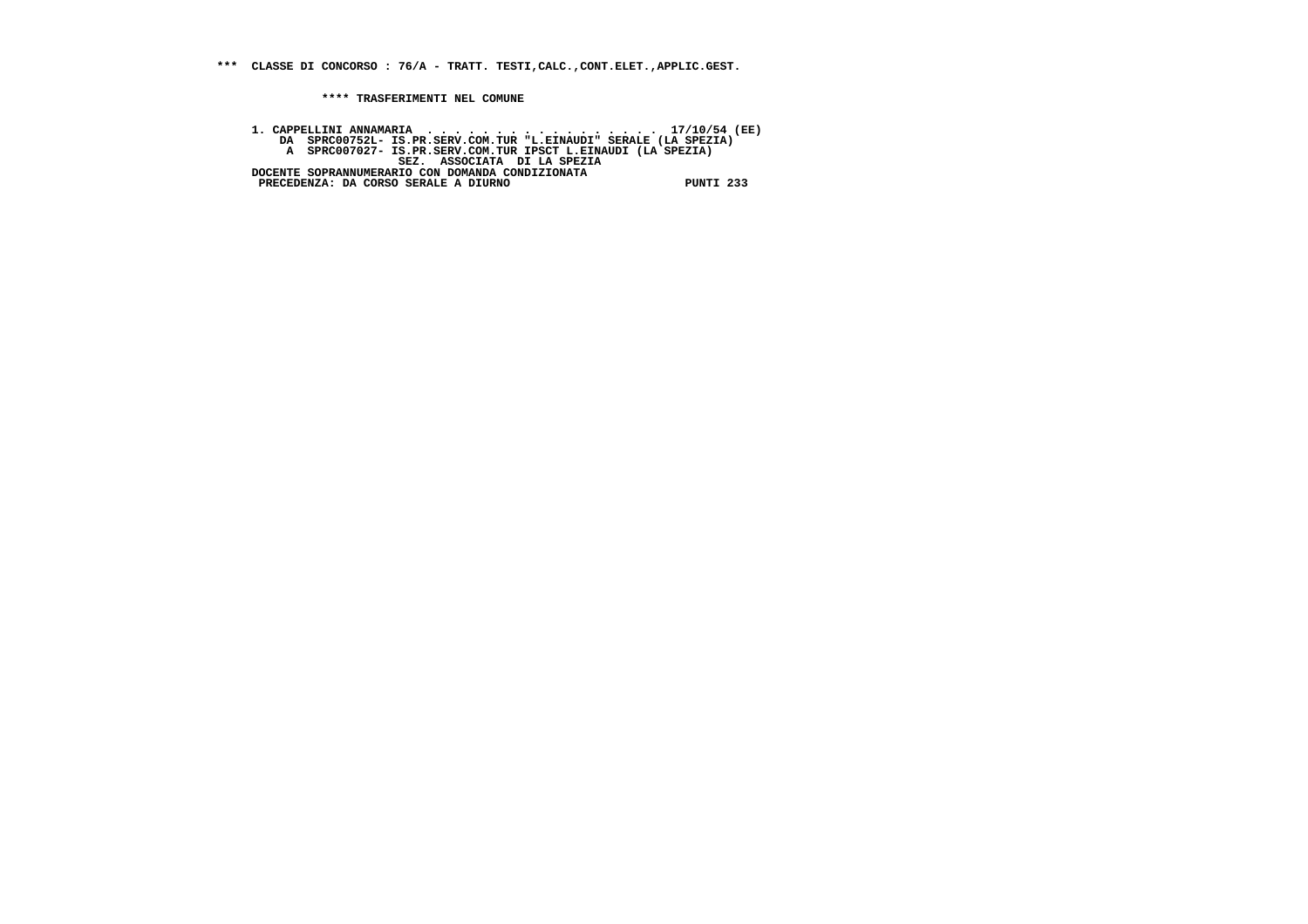**\*\*\* CLASSE DI CONCORSO : 76/A - TRATT. TESTI,CALC.,CONT.ELET.,APPLIC.GEST.**

 **\*\*\*\* TRASFERIMENTI NEL COMUNE**

1. CAPPELLINI ANNAMARIA (EE)<br>DA SPRCO0752L- IS.PR.SERV.COM.TUR "L.EINAUDI" SERALE (LA SPEZIA)<br>A SPRCO07027- IS.PR.SERV.COM.TUR IPSCT L.EINAUDI (LA SPEZIA)<br>EZ. ASSOCIATA DI LA SPEZIA<br>DOCENTE SOPRANNUMERARIO CON DOMANDA COND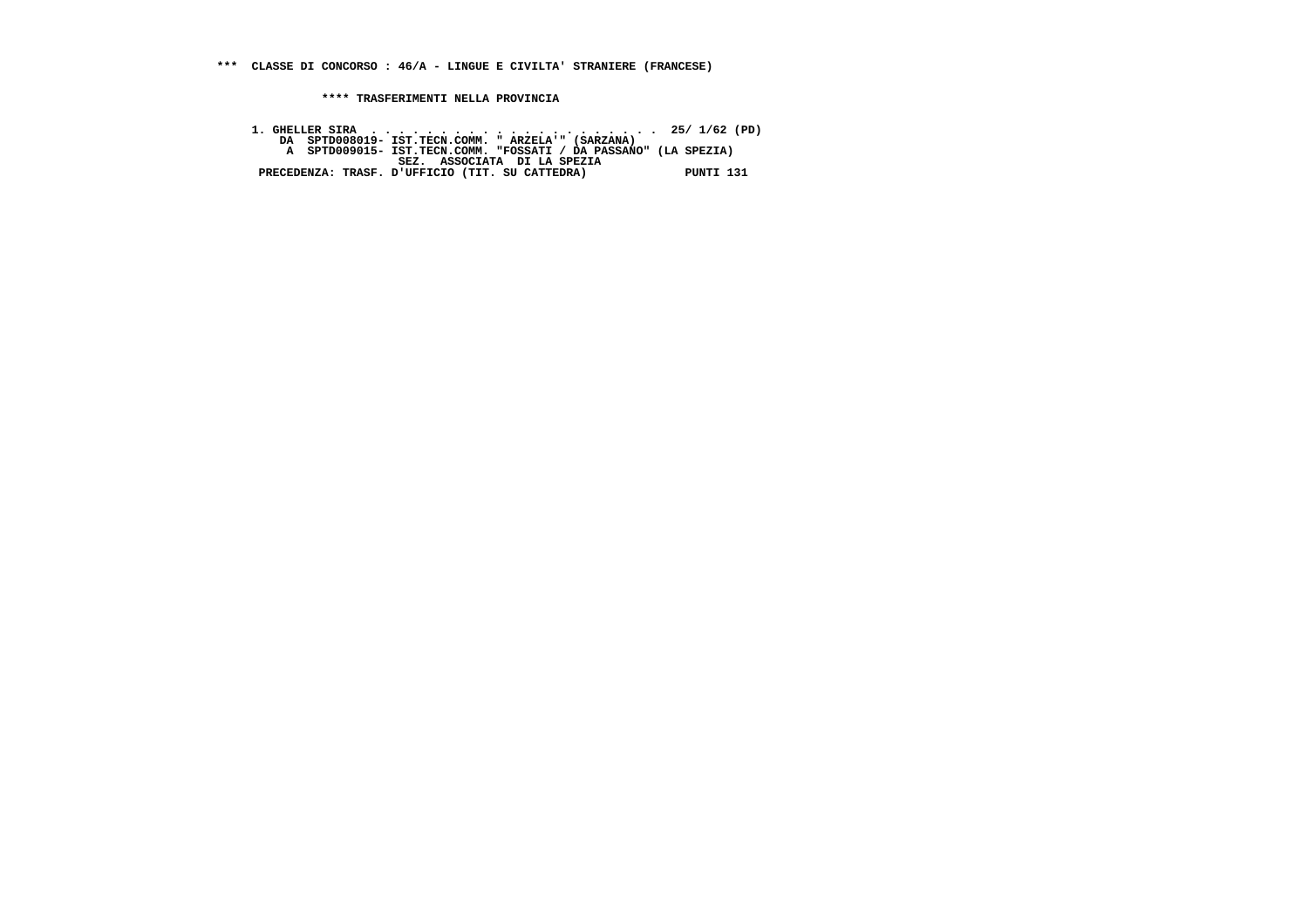**\*\*\* CLASSE DI CONCORSO : 46/A - LINGUE E CIVILTA' STRANIERE (FRANCESE)**

 **\*\*\*\* TRASFERIMENTI NELLA PROVINCIA**

 **1. GHELLER SIRA . . . . . . . . . . . . . . . . . . . . . 25/ 1/62 (PD) DA SPTD008019- IST.TECN.COMM. " ARZELA'" (SARZANA) A SPTD009015- IST.TECN.COMM. "FOSSATI / DA PASSANO" (LA SPEZIA) SEZ. ASSOCIATA DI LA SPEZIA PRECEDENZA: TRASF. D'UFFICIO (TIT. SU CATTEDRA) PUNTI 131**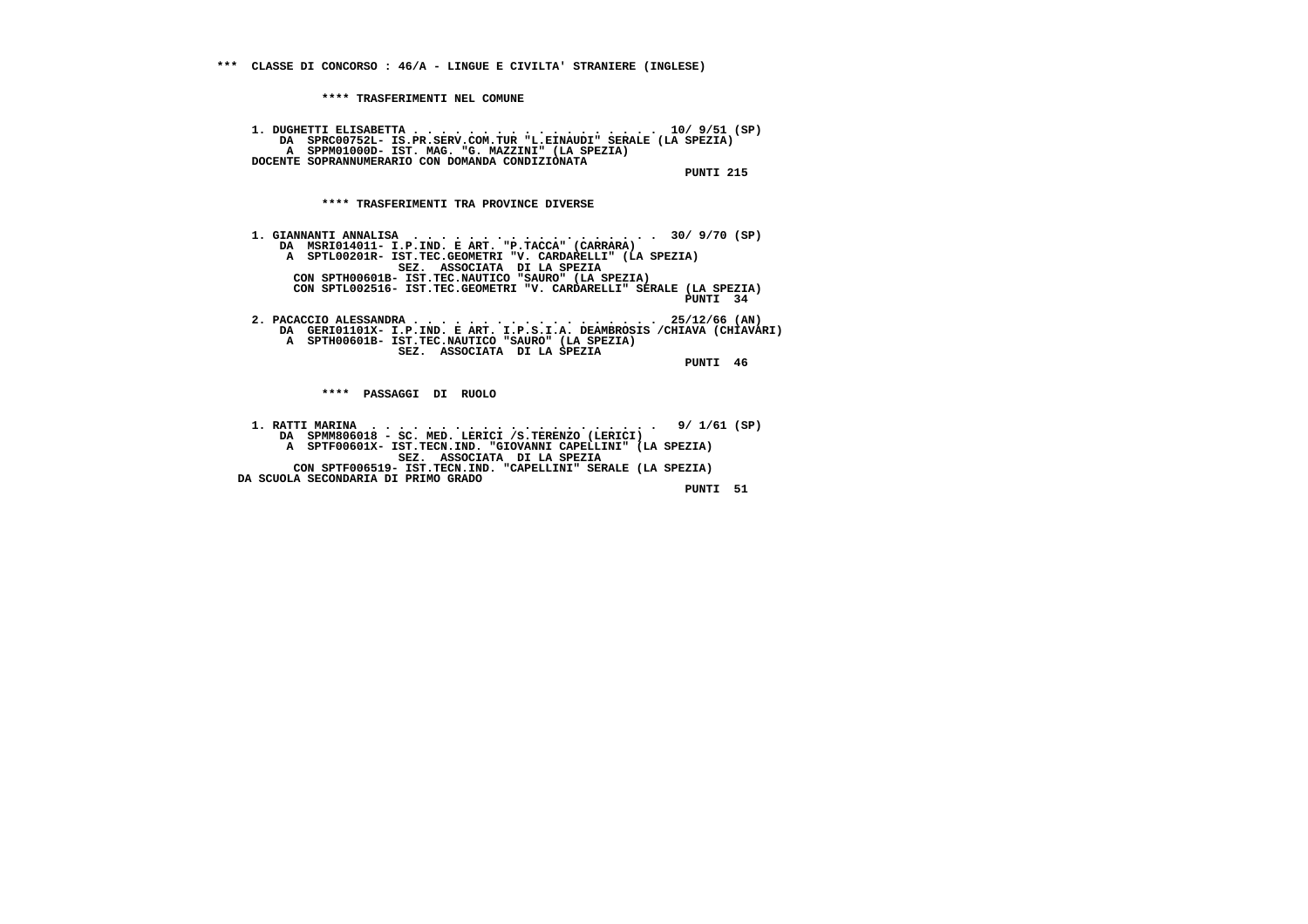**1. DUGHETTI ELISABETTA . . . . . . . . . . . . . . . . . . 10/ 9/51 (SP) DA SPRC00752L- IS.PR.SERV.COM.TUR "L.EINAUDI" SERALE (LA SPEZIA) A SPPM01000D- IST. MAG. "G. MAZZINI" (LA SPEZIA) DOCENTE SOPRANNUMERARIO CON DOMANDA CONDIZIONATA PUNTI 215**

 **\*\*\*\* TRASFERIMENTI TRA PROVINCE DIVERSE**

 **1. GIANNANTI ANNALISA . . . . . . . . . . . . . . . . . . 30/ 9/70 (SP) DA MSRI014011- I.P.IND. E ART. "P.TACCA" (CARRARA) A SPTL00201R- IST.TEC.GEOMETRI "V. CARDARELLI" (LA SPEZIA) SEZ. ASSOCIATA DI LA SPEZIA CON SPTH00601B- IST.TEC.NAUTICO "SAURO" (LA SPEZIA) CON SPTL002516- IST.TEC.GEOMETRI "V. CARDARELLI" SERALE (LA SPEZIA) PUNTI 34**

 **2. PACACCIO ALESSANDRA . . . . . . . . . . . . . . . . . . 25/12/66 (AN) DA GERI01101X- I.P.IND. E ART. I.P.S.I.A. DEAMBROSIS /CHIAVA (CHIAVARI) A SPTH00601B- IST.TEC.NAUTICO "SAURO" (LA SPEZIA) SEZ. ASSOCIATA DI LA SPEZIA**

 **PUNTI 46**

 **\*\*\*\* PASSAGGI DI RUOLO**

 **1. RATTI MARINA . . . . . . . . . . . . . . . . . . . . . 9/ 1/61 (SP) DA SPMM806018 - SC. MED. LERICI /S.TERENZO (LERICI) A SPTF00601X- IST.TECN.IND. "GIOVANNI CAPELLINI" (LA SPEZIA)**SEZ. ASSOCIATA DI LA SPEZIA<br>CON SPTF006519- IST.TECN.IND. "CAPELLINI" SERALE (LA SPEZIA)  **DA SCUOLA SECONDARIA DI PRIMO GRADO**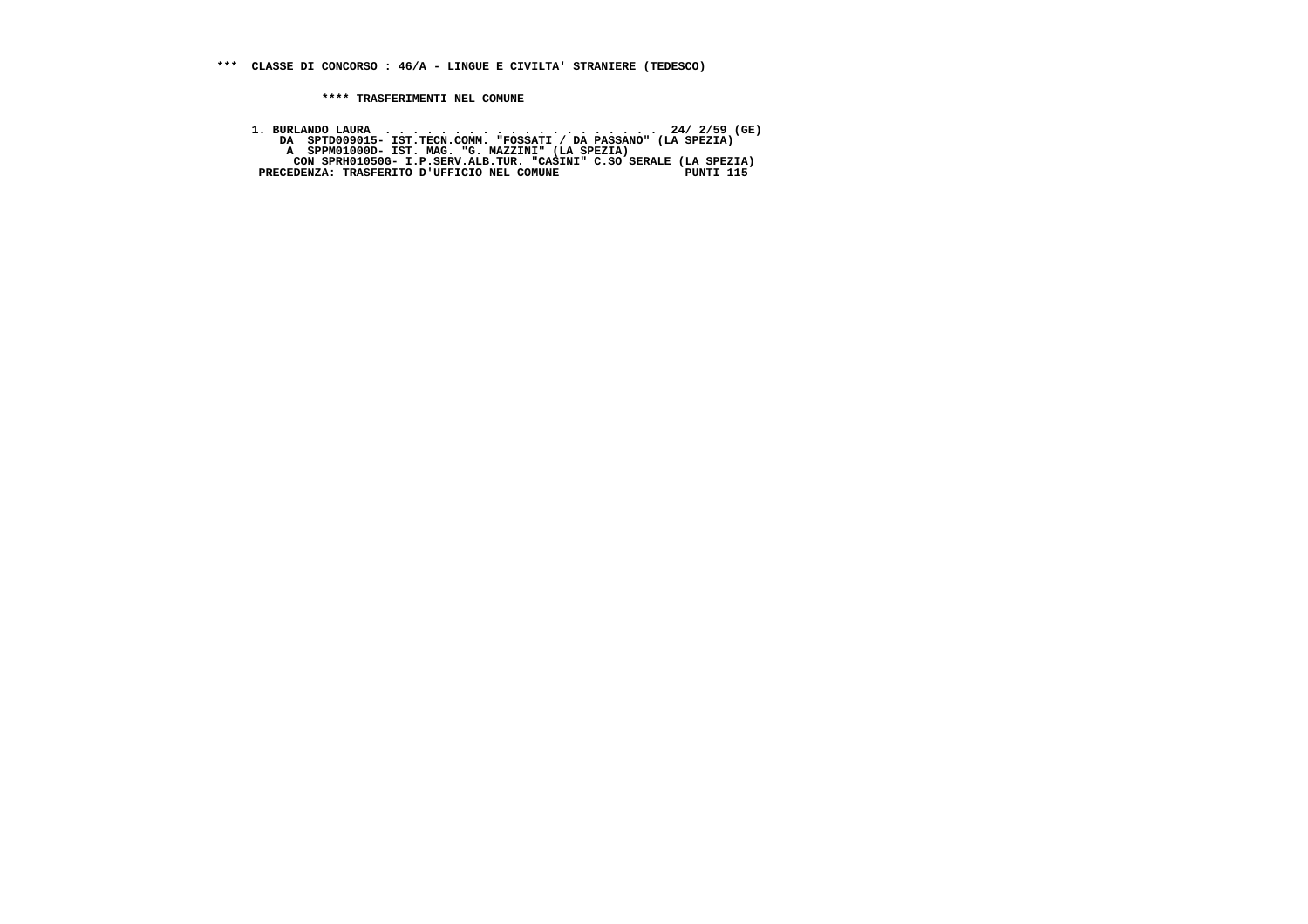**1. BURLANDO LAURA . . . . . . . . . . . . . . . . . . . . 24/ 2/59 (GE) DA SPTD009015- IST.TECN.COMM. "FOSSATI / DA PASSANO" (LA SPEZIA) A SPPM01000D- IST. MAG. "G. MAZZINI" (LA SPEZIA) CON SPRH01050G- I.P.SERV.ALB.TUR. "CASINI" C.SO SERALE (LA SPEZIA) PRECEDENZA: TRASFERITO D'UFFICIO NEL COMUNE PUNTI 115**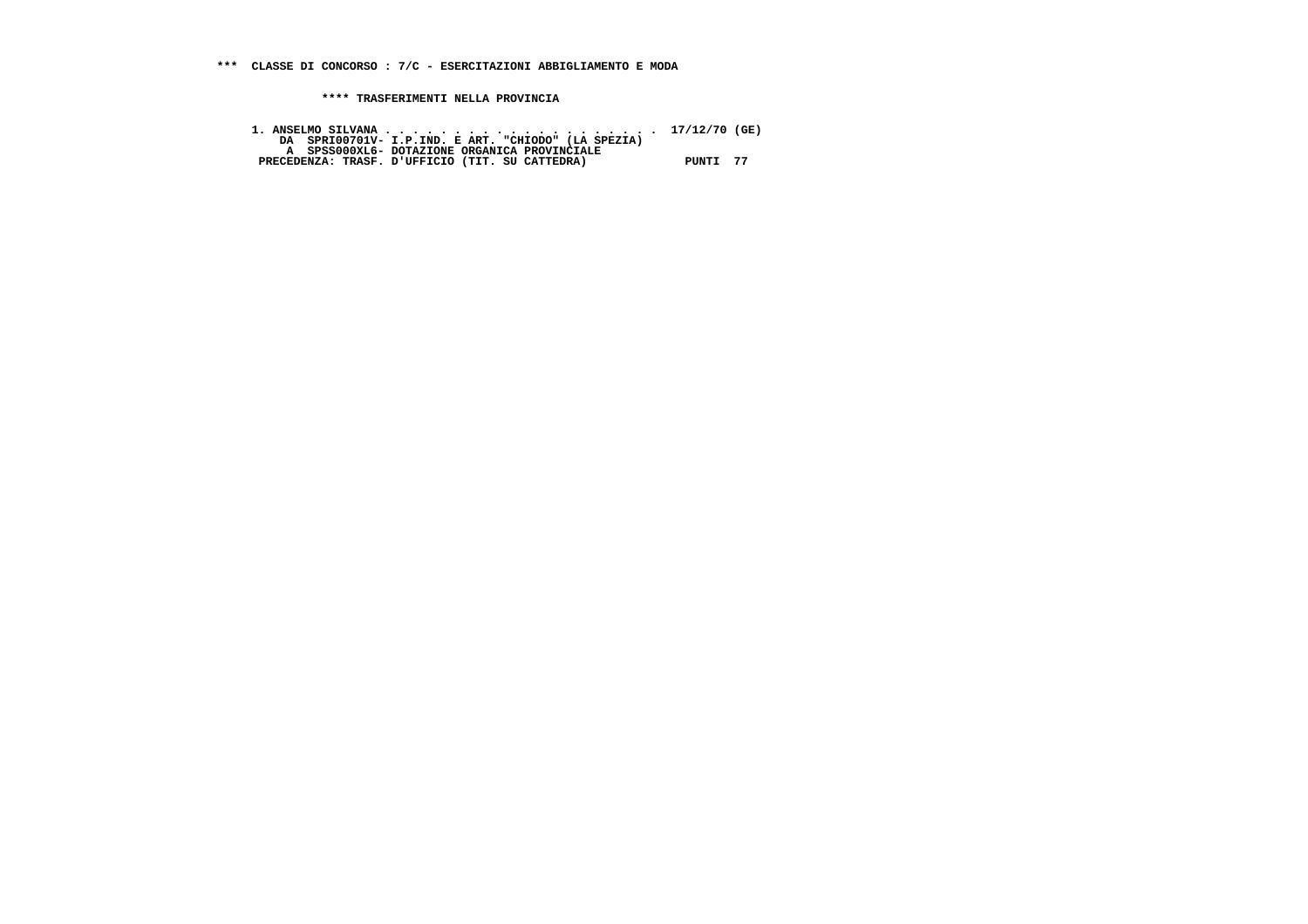| DA SPRI00701V- I.P.IND. E ART. "CHIODO" (LA SPEZIA) |          |
|-----------------------------------------------------|----------|
| A SPSS000XL6- DOTAZIONE ORGANICA PROVINCIALE        |          |
| PRECEDENZA: TRASF. D'UFFICIO (TIT. SU CATTEDRA)     | PUNTI 77 |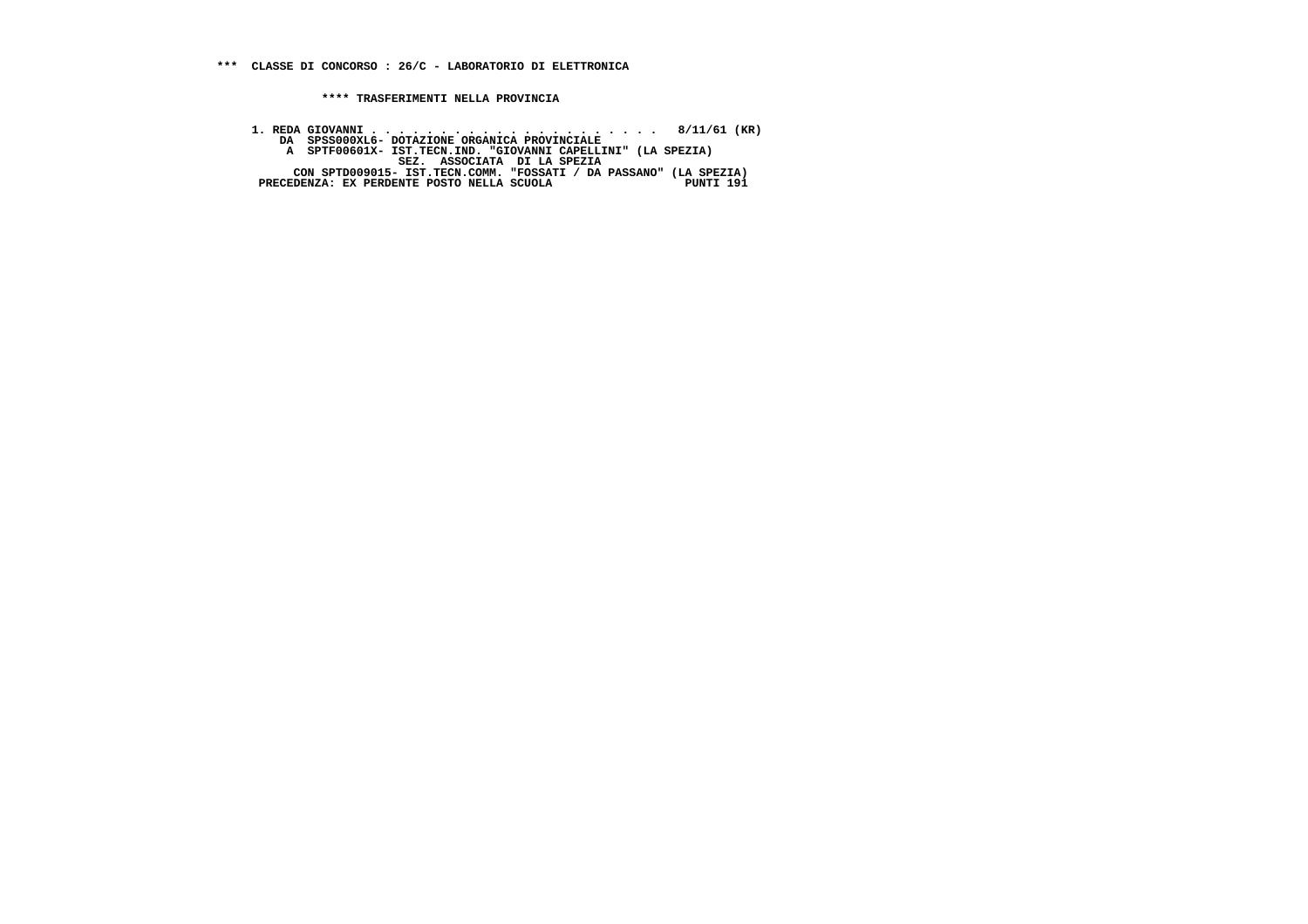**1. REDA GIOVANNI . . . . . . . . . . . . . . . . . . . . . 8/11/61 (KR) DA SPSS000XL6- DOTAZIONE ORGANICA PROVINCIALE**A SPTF00601X- IST.TECN.IND. "GIOVANNI CAPELLINI" (LA SPEZIA)<br>SEZ. ASSOCIATA DI LA SPEZIA<br>CON SPTD009015- IST.TECN.COMM. "FOSSATI / DA PASSANO" (LA SPEZIA)<br>PRECEDENZA: EX PERDENTE POSTO NELLA SCUOLA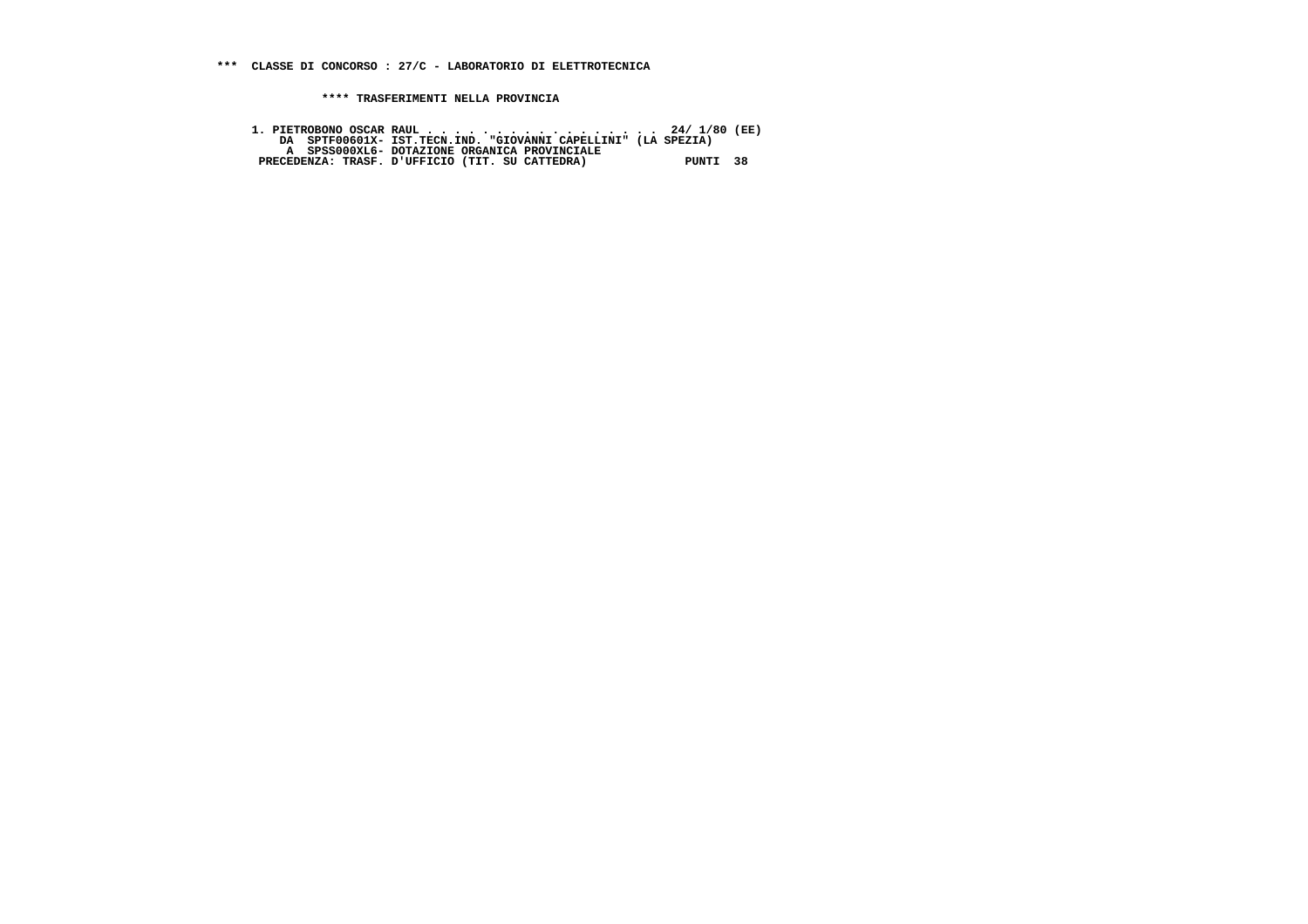**1. PIETROBONO OSCAR RAUL . . . . . . . . . . . . . . . . . 24/ 1/80 (EE) DA SPTF00601X- IST.TECN.IND. "GIOVANNI CAPELLINI" (LA SPEZIA) A SPSS000XL6- DOTAZIONE ORGANICA PROVINCIALE PRECEDENZA: TRASF. D'UFFICIO (TIT. SU CATTEDRA) PUNTI 38**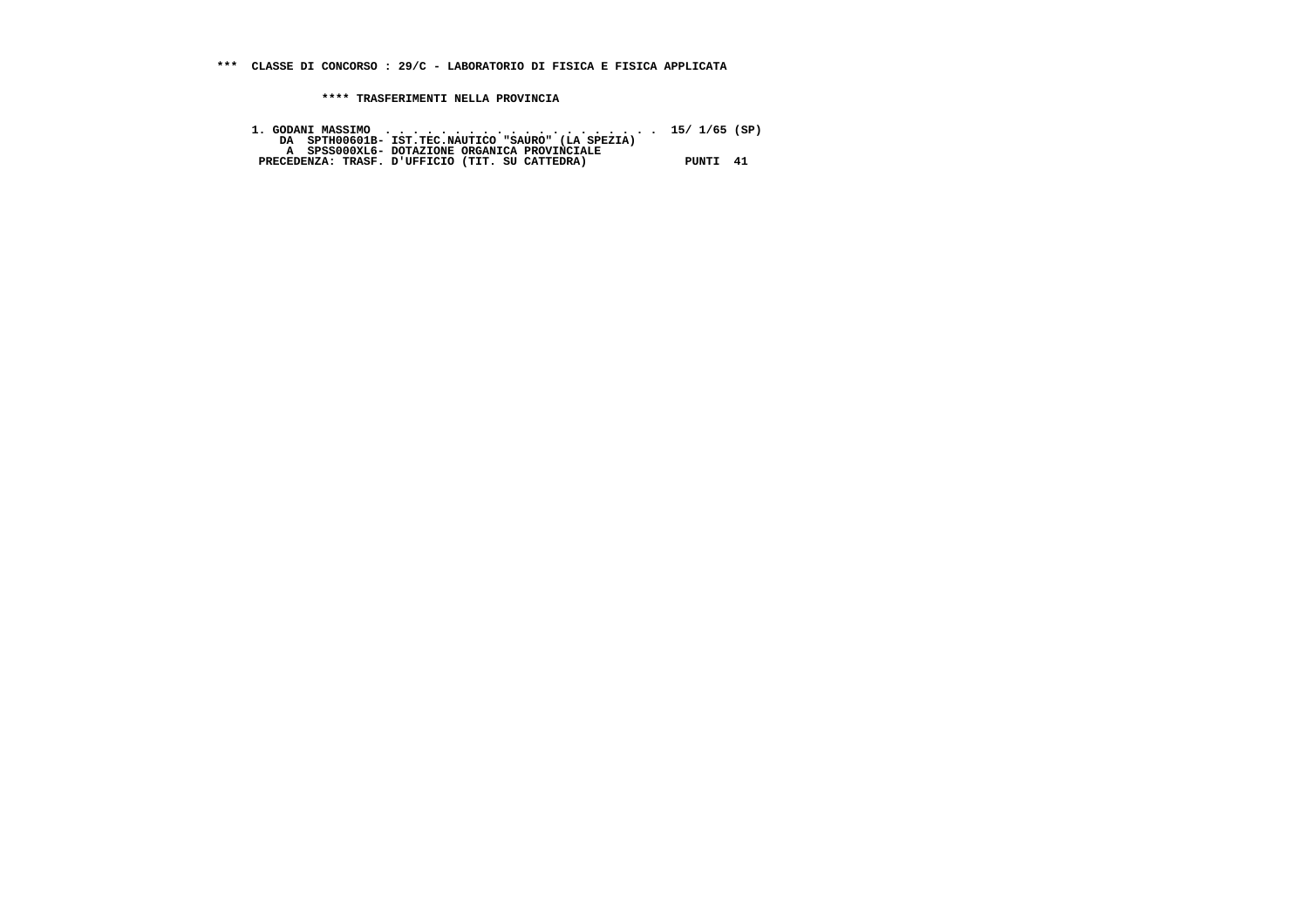| 1. GODANI MASSIMO $\cdots$ , 15/1/65 (SP)          |          |  |
|----------------------------------------------------|----------|--|
| DA SPTH00601B- IST.TEC.NAUTICO "SAURO" (LA SPEZIA) |          |  |
| A SPSS000XL6- DOTAZIONE ORGANICA PROVINCIALE       |          |  |
| PRECEDENZA: TRASF. D'UFFICIO (TIT. SU CATTEDRA)    | PUNTI 41 |  |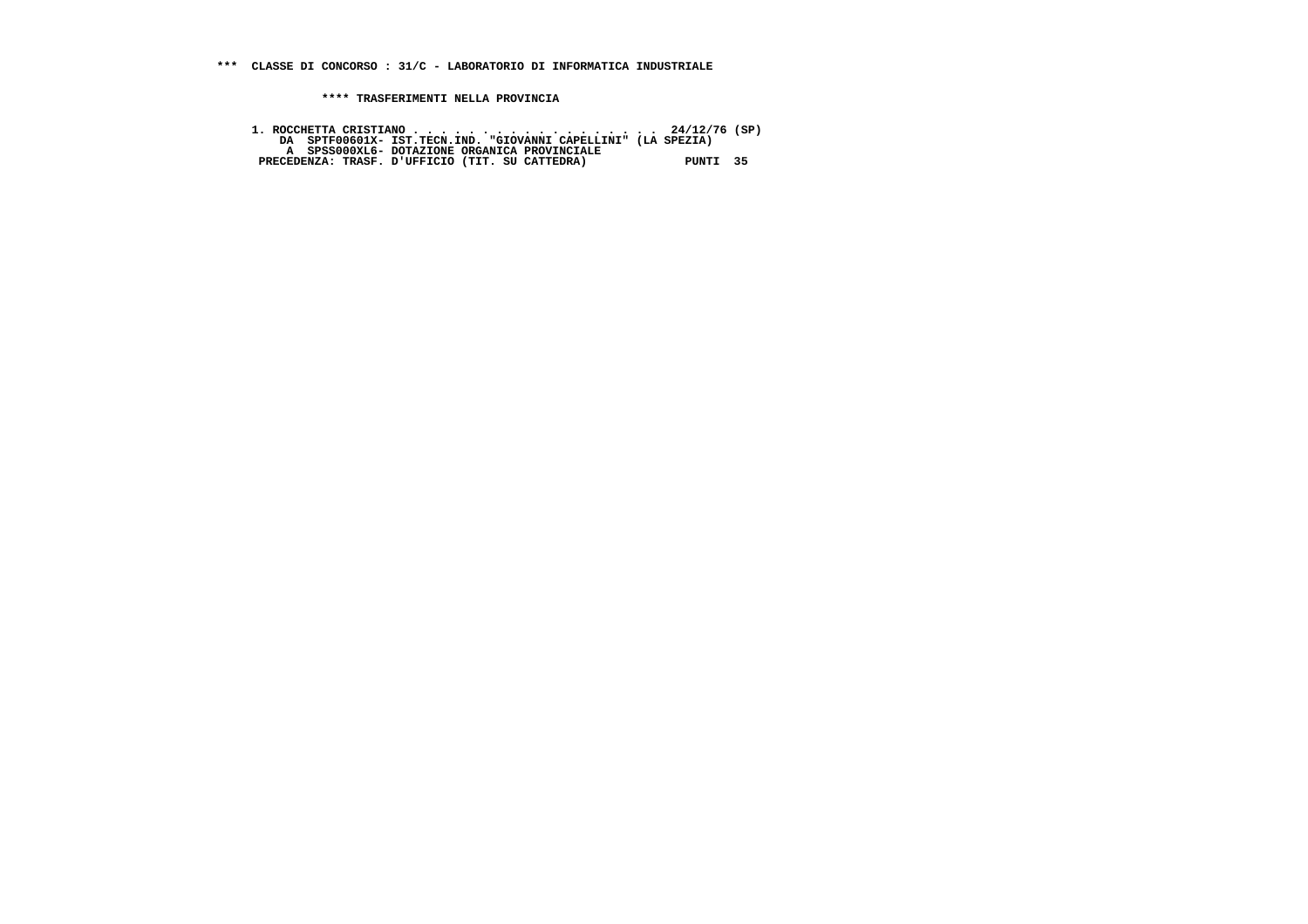**\*\*\* CLASSE DI CONCORSO : 31/C - LABORATORIO DI INFORMATICA INDUSTRIALE**

 **\*\*\*\* TRASFERIMENTI NELLA PROVINCIA**

1. ROCCHETTA CRISTIANO . . . . . . . . . . . . . . . . . 24/12/76 (SP)<br>DA SPTF00601X- IST.TECN.IND. "GIOVANNI CAPELLINI" (LA SPEZIA)<br>A SPSS000XL6- DOTAZIONE ORGANICA PROVINCIALE<br>PRECEDENZA: TRASF. D'UFFICIO (TIT. SU CATTED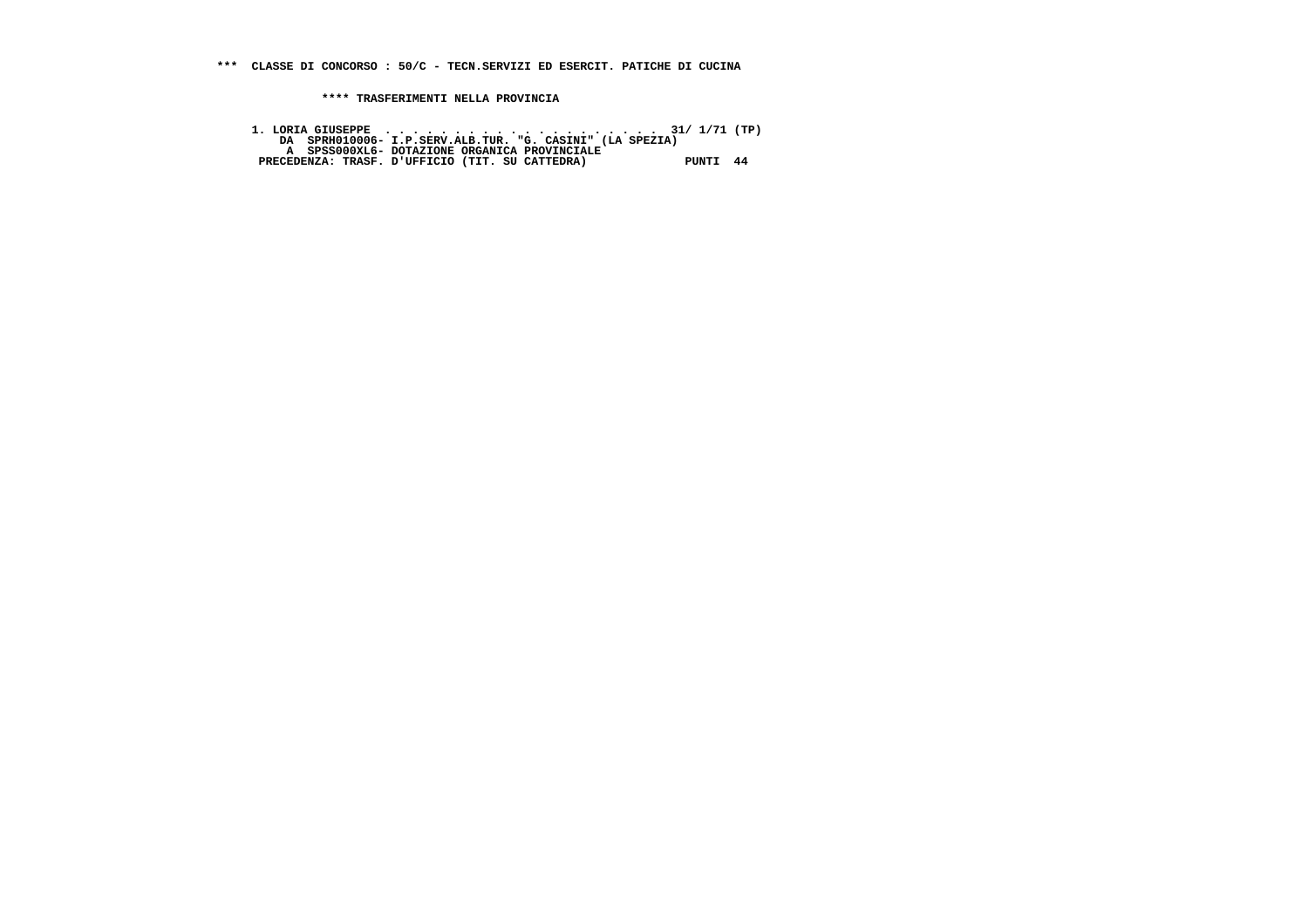**\*\*\* CLASSE DI CONCORSO : 50/C - TECN.SERVIZI ED ESERCIT. PATICHE DI CUCINA**

 **\*\*\*\* TRASFERIMENTI NELLA PROVINCIA**

 **1. LORIA GIUSEPPE . . . . . . . . . . . . . . . . . . . . 31/ 1/71 (TP) DA SPRH010006- I.P.SERV.ALB.TUR. "G. CASINI" (LA SPEZIA) A SPSS000XL6- DOTAZIONE ORGANICA PROVINCIALE PRECEDENZA: TRASF. D'UFFICIO (TIT. SU CATTEDRA) PUNTI 44**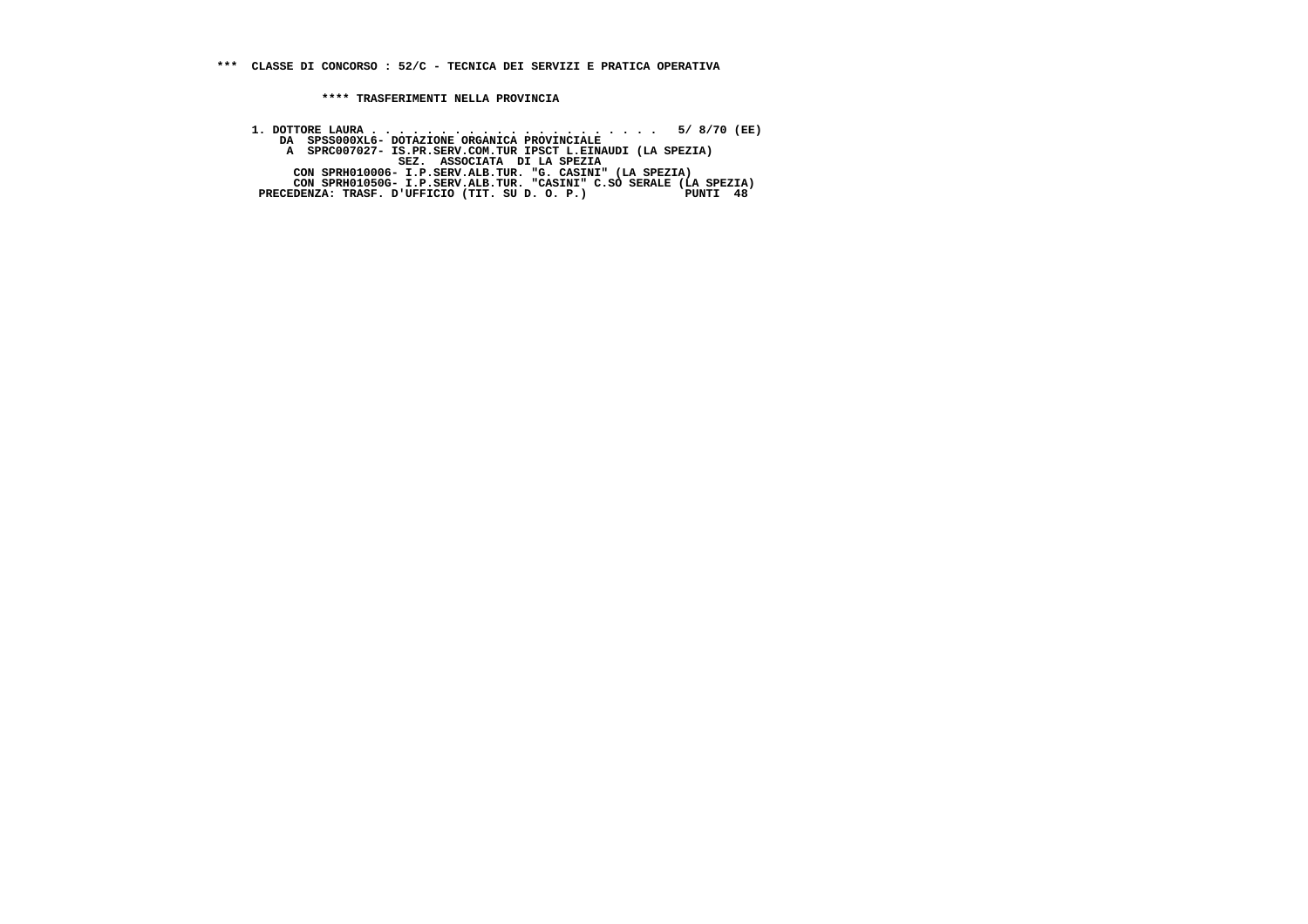**1. DOTTORE LAURA . . . . . . . . . . . . . . . . . . . . . 5/ 8/70 (EE) DA SPSS000XL6- DOTAZIONE ORGANICA PROVINCIALE**A SPRC007027- IS.PR.SERV.COM.TUR IPSCT L.EINAUDI (LA SPEZIA)<br>SEZ. ASSOCIATA DI LA SPEZIA<br>CON SPRH010006- I.P.SERV.ALB.TUR. "G. CASINI" (LA SPEZIA)<br>CON SPRH01050G- I.P.SERV.ALB.TUR. "CASINI" C.SO SERALE (LA SPEZIA)<br>PRECEDEN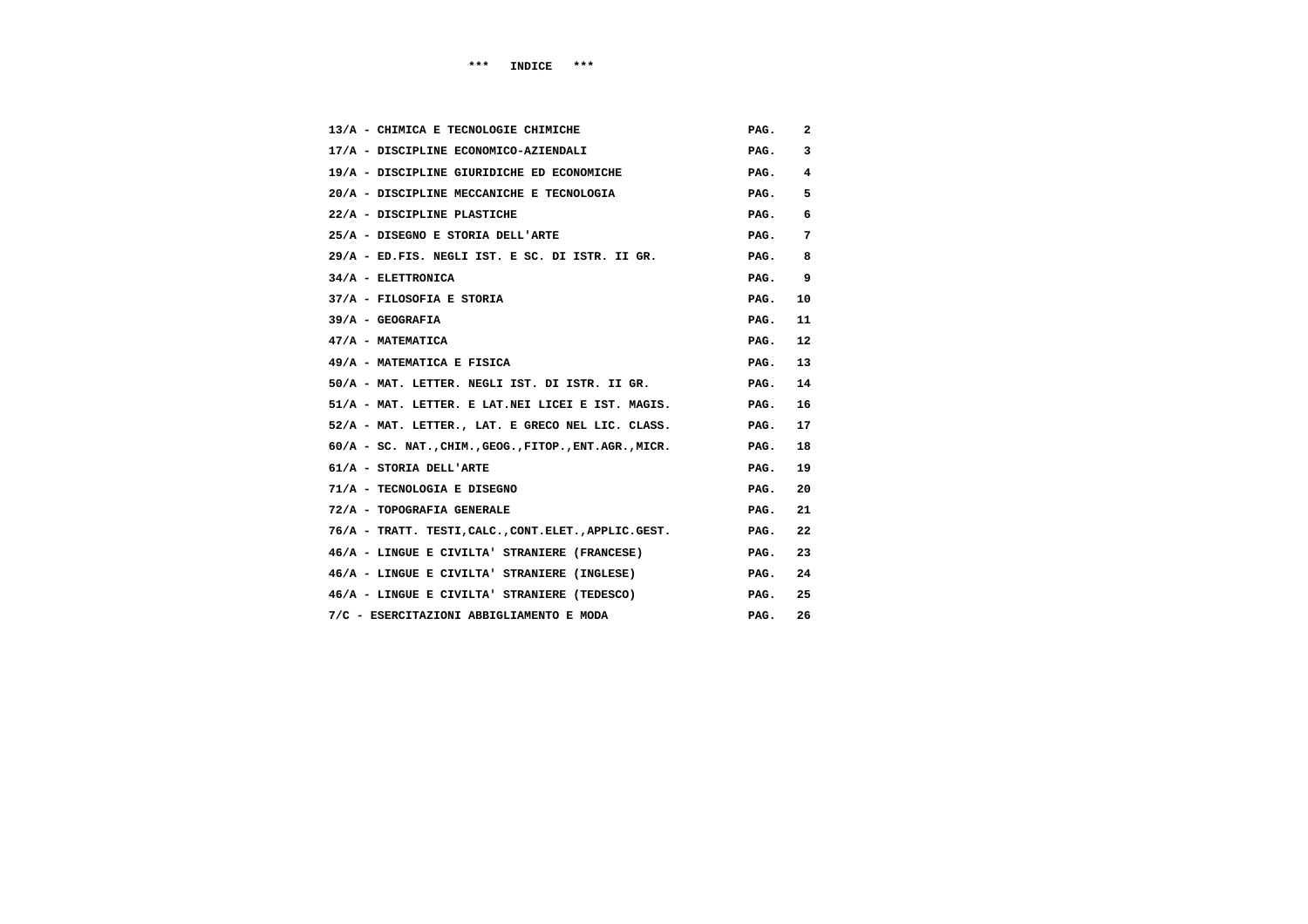| 13/A - CHIMICA E TECNOLOGIE CHIMICHE                      | PAG. | 2  |
|-----------------------------------------------------------|------|----|
| 17/A - DISCIPLINE ECONOMICO-AZIENDALI                     | PAG. | 3  |
| 19/A - DISCIPLINE GIURIDICHE ED ECONOMICHE                | PAG. | 4  |
| 20/A - DISCIPLINE MECCANICHE E TECNOLOGIA                 | PAG. | 5  |
| 22/A - DISCIPLINE PLASTICHE                               | PAG. | 6  |
| 25/A - DISEGNO E STORIA DELL'ARTE                         | PAG. | 7  |
| 29/A - ED.FIS. NEGLI IST. E SC. DI ISTR. II GR.           | PAG. | 8  |
| 34/A - ELETTRONICA                                        | PAG. | 9  |
| 37/A - FILOSOFIA E STORIA                                 | PAG. | 10 |
| $39/A - GEOGRAFIA$                                        | PAG. | 11 |
| 47/A - MATEMATICA                                         | PAG. | 12 |
| 49/A - MATEMATICA E FISICA                                | PAG. | 13 |
| 50/A - MAT. LETTER. NEGLI IST. DI ISTR. II GR.            | PAG. | 14 |
| 51/A - MAT. LETTER. E LAT.NEI LICEI E IST. MAGIS.         | PAG. | 16 |
| 52/A - MAT. LETTER., LAT. E GRECO NEL LIC. CLASS.         | PAG. | 17 |
| $60/A$ - SC. NAT., CHIM., GEOG., FITOP., ENT. AGR., MICR. | PAG. | 18 |
| 61/A - STORIA DELL'ARTE                                   | PAG. | 19 |
| 71/A - TECNOLOGIA E DISEGNO                               | PAG. | 20 |
| 72/A - TOPOGRAFIA GENERALE                                | PAG. | 21 |
| 76/A - TRATT. TESTI, CALC., CONT.ELET., APPLIC.GEST.      | PAG. | 22 |
| 46/A - LINGUE E CIVILTA' STRANIERE (FRANCESE)             | PAG. | 23 |
| 46/A - LINGUE E CIVILTA' STRANIERE (INGLESE)              | PAG. | 24 |
| 46/A - LINGUE E CIVILTA' STRANIERE (TEDESCO)              | PAG. | 25 |
| 7/C - ESERCITAZIONI ABBIGLIAMENTO E MODA                  | PAG. | 26 |